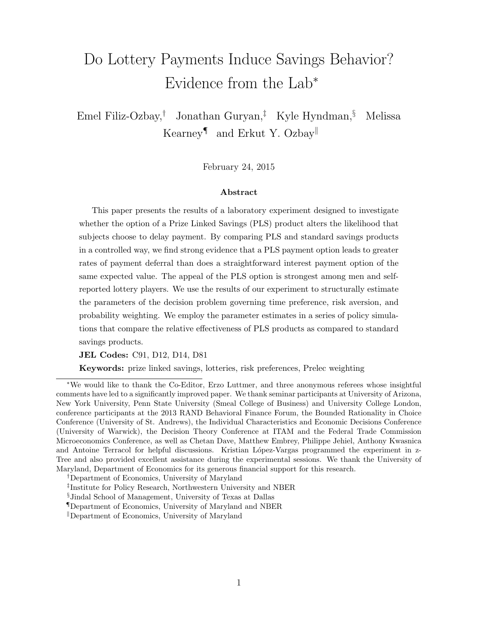# Do Lottery Payments Induce Savings Behavior? Evidence from the Lab<sup>∗</sup>

Emel Filiz-Ozbay,† Jonathan Guryan,‡ Kyle Hyndman,§ Melissa Kearney<sup>¶</sup> and Erkut Y. Ozbay

February 24, 2015

#### Abstract

This paper presents the results of a laboratory experiment designed to investigate whether the option of a Prize Linked Savings (PLS) product alters the likelihood that subjects choose to delay payment. By comparing PLS and standard savings products in a controlled way, we find strong evidence that a PLS payment option leads to greater rates of payment deferral than does a straightforward interest payment option of the same expected value. The appeal of the PLS option is strongest among men and selfreported lottery players. We use the results of our experiment to structurally estimate the parameters of the decision problem governing time preference, risk aversion, and probability weighting. We employ the parameter estimates in a series of policy simulations that compare the relative effectiveness of PLS products as compared to standard savings products.

JEL Codes: C91, D12, D14, D81

Keywords: prize linked savings, lotteries, risk preferences, Prelec weighting

<sup>∗</sup>We would like to thank the Co-Editor, Erzo Luttmer, and three anonymous referees whose insightful comments have led to a significantly improved paper. We thank seminar participants at University of Arizona, New York University, Penn State University (Smeal College of Business) and University College London, conference participants at the 2013 RAND Behavioral Finance Forum, the Bounded Rationality in Choice Conference (University of St. Andrews), the Individual Characteristics and Economic Decisions Conference (University of Warwick), the Decision Theory Conference at ITAM and the Federal Trade Commission Microeconomics Conference, as well as Chetan Dave, Matthew Embrey, Philippe Jehiel, Anthony Kwasnica and Antoine Terracol for helpful discussions. Kristian López-Vargas programmed the experiment in z-Tree and also provided excellent assistance during the experimental sessions. We thank the University of Maryland, Department of Economics for its generous financial support for this research.

<sup>†</sup>Department of Economics, University of Maryland

<sup>‡</sup> Institute for Policy Research, Northwestern University and NBER

<sup>§</sup>Jindal School of Management, University of Texas at Dallas

<sup>¶</sup>Department of Economics, University of Maryland and NBER

 $\mathbb{D}$  Department of Economics, University of Maryland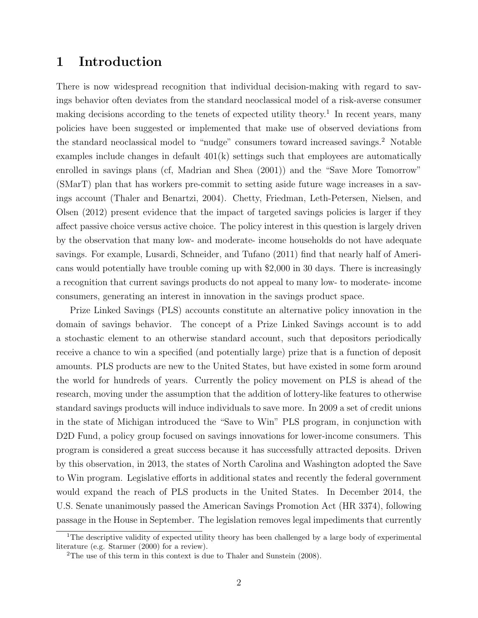## 1 Introduction

There is now widespread recognition that individual decision-making with regard to savings behavior often deviates from the standard neoclassical model of a risk-averse consumer making decisions according to the tenets of expected utility theory.<sup>[1](#page-1-0)</sup> In recent years, many policies have been suggested or implemented that make use of observed deviations from the standard neoclassical model to "nudge" consumers toward increased savings.<sup>[2](#page-1-1)</sup> Notable examples include changes in default  $401(k)$  settings such that employees are automatically enrolled in savings plans (cf, [Madrian and Shea](#page-41-0) [\(2001\)](#page-41-0)) and the "Save More Tomorrow" (SMarT) plan that has workers pre-commit to setting aside future wage increases in a savings account [\(Thaler and Benartzi,](#page-42-0) [2004\)](#page-42-0). [Chetty, Friedman, Leth-Petersen, Nielsen, and](#page-39-0) [Olsen](#page-39-0) [\(2012\)](#page-39-0) present evidence that the impact of targeted savings policies is larger if they affect passive choice versus active choice. The policy interest in this question is largely driven by the observation that many low- and moderate- income households do not have adequate savings. For example, [Lusardi, Schneider, and Tufano](#page-41-1) [\(2011\)](#page-41-1) find that nearly half of Americans would potentially have trouble coming up with \$2,000 in 30 days. There is increasingly a recognition that current savings products do not appeal to many low- to moderate- income consumers, generating an interest in innovation in the savings product space.

Prize Linked Savings (PLS) accounts constitute an alternative policy innovation in the domain of savings behavior. The concept of a Prize Linked Savings account is to add a stochastic element to an otherwise standard account, such that depositors periodically receive a chance to win a specified (and potentially large) prize that is a function of deposit amounts. PLS products are new to the United States, but have existed in some form around the world for hundreds of years. Currently the policy movement on PLS is ahead of the research, moving under the assumption that the addition of lottery-like features to otherwise standard savings products will induce individuals to save more. In 2009 a set of credit unions in the state of Michigan introduced the "Save to Win" PLS program, in conjunction with D<sub>2</sub>D Fund, a policy group focused on savings innovations for lower-income consumers. This program is considered a great success because it has successfully attracted deposits. Driven by this observation, in 2013, the states of North Carolina and Washington adopted the Save to Win program. Legislative efforts in additional states and recently the federal government would expand the reach of PLS products in the United States. In December 2014, the U.S. Senate unanimously passed the American Savings Promotion Act (HR 3374), following passage in the House in September. The legislation removes legal impediments that currently

<span id="page-1-0"></span><sup>&</sup>lt;sup>1</sup>The descriptive validity of expected utility theory has been challenged by a large body of experimental literature (e.g. [Starmer](#page-42-1) [\(2000\)](#page-42-1) for a review).

<span id="page-1-1"></span><sup>&</sup>lt;sup>2</sup>The use of this term in this context is due to [Thaler and Sunstein](#page-42-2)  $(2008)$ .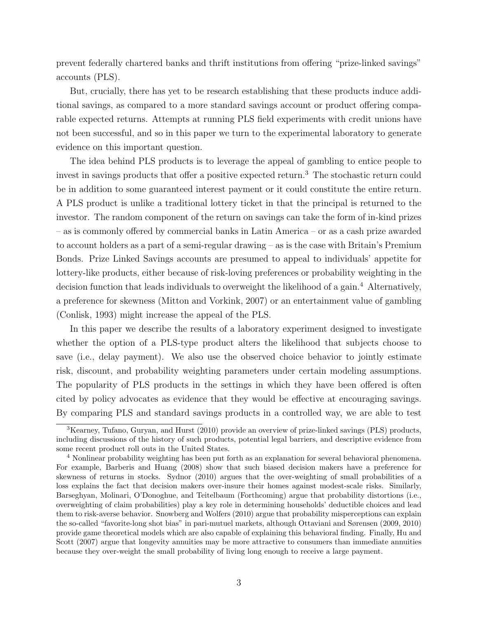prevent federally chartered banks and thrift institutions from offering "prize-linked savings" accounts (PLS).

But, crucially, there has yet to be research establishing that these products induce additional savings, as compared to a more standard savings account or product offering comparable expected returns. Attempts at running PLS field experiments with credit unions have not been successful, and so in this paper we turn to the experimental laboratory to generate evidence on this important question.

The idea behind PLS products is to leverage the appeal of gambling to entice people to invest in savings products that offer a positive expected return.<sup>[3](#page-2-0)</sup> The stochastic return could be in addition to some guaranteed interest payment or it could constitute the entire return. A PLS product is unlike a traditional lottery ticket in that the principal is returned to the investor. The random component of the return on savings can take the form of in-kind prizes – as is commonly offered by commercial banks in Latin America – or as a cash prize awarded to account holders as a part of a semi-regular drawing – as is the case with Britain's Premium Bonds. Prize Linked Savings accounts are presumed to appeal to individuals' appetite for lottery-like products, either because of risk-loving preferences or probability weighting in the decision function that leads individuals to overweight the likelihood of a gain.<sup>[4](#page-2-1)</sup> Alternatively, a preference for skewness [\(Mitton and Vorkink,](#page-41-2) [2007\)](#page-41-2) or an entertainment value of gambling [\(Conlisk,](#page-39-1) [1993\)](#page-39-1) might increase the appeal of the PLS.

In this paper we describe the results of a laboratory experiment designed to investigate whether the option of a PLS-type product alters the likelihood that subjects choose to save (i.e., delay payment). We also use the observed choice behavior to jointly estimate risk, discount, and probability weighting parameters under certain modeling assumptions. The popularity of PLS products in the settings in which they have been offered is often cited by policy advocates as evidence that they would be effective at encouraging savings. By comparing PLS and standard savings products in a controlled way, we are able to test

<span id="page-2-0"></span><sup>3</sup>[Kearney, Tufano, Guryan, and Hurst](#page-41-3) [\(2010\)](#page-41-3) provide an overview of prize-linked savings (PLS) products, including discussions of the history of such products, potential legal barriers, and descriptive evidence from some recent product roll outs in the United States.

<span id="page-2-1"></span><sup>4</sup> Nonlinear probability weighting has been put forth as an explanation for several behavioral phenomena. For example, [Barberis and Huang](#page-39-2) [\(2008\)](#page-39-2) show that such biased decision makers have a preference for skewness of returns in stocks. [Sydnor](#page-42-3) [\(2010\)](#page-42-3) argues that the over-weighting of small probabilities of a loss explains the fact that decision makers over-insure their homes against modest-scale risks. Similarly, [Barseghyan, Molinari, O'Donoghue, and Teitelbaum](#page-39-3) (Forthcoming) argue that probability distortions (i.e., overweighting of claim probabilities) play a key role in determining households' deductible choices and lead them to risk-averse behavior. [Snowberg and Wolfers](#page-41-4) [\(2010\)](#page-41-4) argue that probability misperceptions can explain the so-called "favorite-long shot bias" in pari-mutuel markets, although [Ottaviani and Sørensen](#page-41-5) [\(2009,](#page-41-5) [2010\)](#page-41-6) provide game theoretical models which are also capable of explaining this behavioral finding. Finally, [Hu and](#page-40-0) [Scott](#page-40-0) [\(2007\)](#page-40-0) argue that longevity annuities may be more attractive to consumers than immediate annuities because they over-weight the small probability of living long enough to receive a large payment.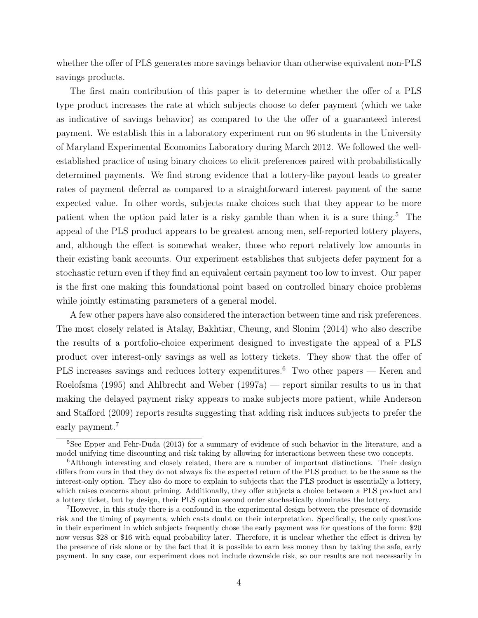whether the offer of PLS generates more savings behavior than otherwise equivalent non-PLS savings products.

The first main contribution of this paper is to determine whether the offer of a PLS type product increases the rate at which subjects choose to defer payment (which we take as indicative of savings behavior) as compared to the the offer of a guaranteed interest payment. We establish this in a laboratory experiment run on 96 students in the University of Maryland Experimental Economics Laboratory during March 2012. We followed the wellestablished practice of using binary choices to elicit preferences paired with probabilistically determined payments. We find strong evidence that a lottery-like payout leads to greater rates of payment deferral as compared to a straightforward interest payment of the same expected value. In other words, subjects make choices such that they appear to be more patient when the option paid later is a risky gamble than when it is a sure thing.[5](#page-3-0) The appeal of the PLS product appears to be greatest among men, self-reported lottery players, and, although the effect is somewhat weaker, those who report relatively low amounts in their existing bank accounts. Our experiment establishes that subjects defer payment for a stochastic return even if they find an equivalent certain payment too low to invest. Our paper is the first one making this foundational point based on controlled binary choice problems while jointly estimating parameters of a general model.

A few other papers have also considered the interaction between time and risk preferences. The most closely related is [Atalay, Bakhtiar, Cheung, and Slonim](#page-39-4) [\(2014\)](#page-39-4) who also describe the results of a portfolio-choice experiment designed to investigate the appeal of a PLS product over interest-only savings as well as lottery tickets. They show that the offer of PLS increases savings and reduces lottery expenditures.<sup>[6](#page-3-1)</sup> Two other papers — [Keren and](#page-41-7) [Roelofsma](#page-41-7) [\(1995\)](#page-41-7) and [Ahlbrecht and Weber](#page-38-0) [\(1997a\)](#page-38-0) — report similar results to us in that making the delayed payment risky appears to make subjects more patient, while [Anderson](#page-39-5) [and Stafford](#page-39-5) [\(2009\)](#page-39-5) reports results suggesting that adding risk induces subjects to prefer the early payment.<sup>[7](#page-3-2)</sup>

<span id="page-3-0"></span><sup>&</sup>lt;sup>5</sup>See [Epper and Fehr-Duda](#page-40-1) [\(2013\)](#page-40-1) for a summary of evidence of such behavior in the literature, and a model unifying time discounting and risk taking by allowing for interactions between these two concepts.

<span id="page-3-1"></span><sup>&</sup>lt;sup>6</sup>Although interesting and closely related, there are a number of important distinctions. Their design differs from ours in that they do not always fix the expected return of the PLS product to be the same as the interest-only option. They also do more to explain to subjects that the PLS product is essentially a lottery, which raises concerns about priming. Additionally, they offer subjects a choice between a PLS product and a lottery ticket, but by design, their PLS option second order stochastically dominates the lottery.

<span id="page-3-2"></span><sup>7</sup>However, in this study there is a confound in the experimental design between the presence of downside risk and the timing of payments, which casts doubt on their interpretation. Specifically, the only questions in their experiment in which subjects frequently chose the early payment was for questions of the form: \$20 now versus \$28 or \$16 with equal probability later. Therefore, it is unclear whether the effect is driven by the presence of risk alone or by the fact that it is possible to earn less money than by taking the safe, early payment. In any case, our experiment does not include downside risk, so our results are not necessarily in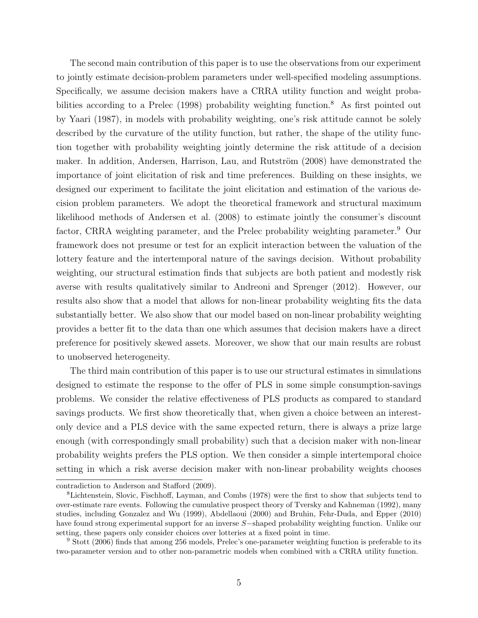The second main contribution of this paper is to use the observations from our experiment to jointly estimate decision-problem parameters under well-specified modeling assumptions. Specifically, we assume decision makers have a CRRA utility function and weight proba-bilities according to a [Prelec](#page-41-8) [\(1998\)](#page-41-8) probability weighting function.<sup>[8](#page-4-0)</sup> As first pointed out by [Yaari](#page-42-4) [\(1987\)](#page-42-4), in models with probability weighting, one's risk attitude cannot be solely described by the curvature of the utility function, but rather, the shape of the utility function together with probability weighting jointly determine the risk attitude of a decision maker. In addition, Andersen, Harrison, Lau, and Rutström [\(2008\)](#page-38-1) have demonstrated the importance of joint elicitation of risk and time preferences. Building on these insights, we designed our experiment to facilitate the joint elicitation and estimation of the various decision problem parameters. We adopt the theoretical framework and structural maximum likelihood methods of [Andersen et al.](#page-38-1) [\(2008\)](#page-38-1) to estimate jointly the consumer's discount factor, CRRA weighting parameter, and the Prelec probability weighting parameter.<sup>[9](#page-4-1)</sup> Our framework does not presume or test for an explicit interaction between the valuation of the lottery feature and the intertemporal nature of the savings decision. Without probability weighting, our structural estimation finds that subjects are both patient and modestly risk averse with results qualitatively similar to [Andreoni and Sprenger](#page-39-6) [\(2012\)](#page-39-6). However, our results also show that a model that allows for non-linear probability weighting fits the data substantially better. We also show that our model based on non-linear probability weighting provides a better fit to the data than one which assumes that decision makers have a direct preference for positively skewed assets. Moreover, we show that our main results are robust to unobserved heterogeneity.

The third main contribution of this paper is to use our structural estimates in simulations designed to estimate the response to the offer of PLS in some simple consumption-savings problems. We consider the relative effectiveness of PLS products as compared to standard savings products. We first show theoretically that, when given a choice between an interestonly device and a PLS device with the same expected return, there is always a prize large enough (with correspondingly small probability) such that a decision maker with non-linear probability weights prefers the PLS option. We then consider a simple intertemporal choice setting in which a risk averse decision maker with non-linear probability weights chooses

contradiction to [Anderson and Stafford](#page-39-5) [\(2009\)](#page-39-5).

<span id="page-4-0"></span><sup>8</sup>[Lichtenstein, Slovic, Fischhoff, Layman, and Combs](#page-41-9) [\(1978\)](#page-41-9) were the first to show that subjects tend to over-estimate rare events. Following the cumulative prospect theory of [Tversky and Kahneman](#page-42-5) [\(1992\)](#page-42-5), many studies, including [Gonzalez and Wu](#page-40-2) [\(1999\)](#page-40-2), [Abdellaoui](#page-38-2) [\(2000\)](#page-38-2) and [Bruhin, Fehr-Duda, and Epper](#page-39-7) [\(2010\)](#page-39-7) have found strong experimental support for an inverse S−shaped probability weighting function. Unlike our setting, these papers only consider choices over lotteries at a fixed point in time.

<span id="page-4-1"></span><sup>9</sup> [Stott](#page-42-6) [\(2006\)](#page-42-6) finds that among 256 models, Prelec's one-parameter weighting function is preferable to its two-parameter version and to other non-parametric models when combined with a CRRA utility function.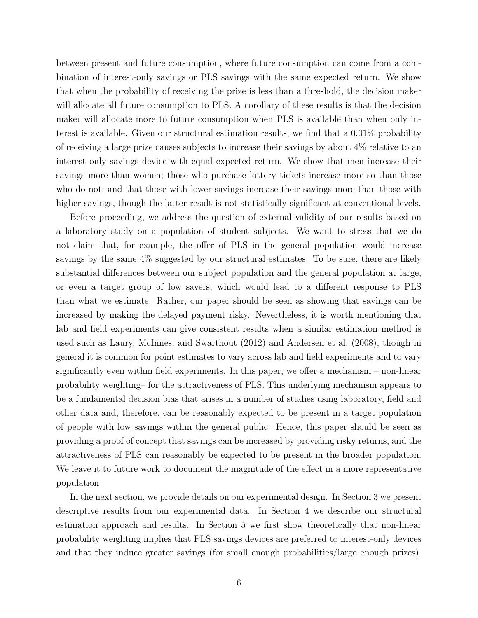between present and future consumption, where future consumption can come from a combination of interest-only savings or PLS savings with the same expected return. We show that when the probability of receiving the prize is less than a threshold, the decision maker will allocate all future consumption to PLS. A corollary of these results is that the decision maker will allocate more to future consumption when PLS is available than when only interest is available. Given our structural estimation results, we find that a 0.01% probability of receiving a large prize causes subjects to increase their savings by about 4% relative to an interest only savings device with equal expected return. We show that men increase their savings more than women; those who purchase lottery tickets increase more so than those who do not; and that those with lower savings increase their savings more than those with higher savings, though the latter result is not statistically significant at conventional levels.

Before proceeding, we address the question of external validity of our results based on a laboratory study on a population of student subjects. We want to stress that we do not claim that, for example, the offer of PLS in the general population would increase savings by the same 4% suggested by our structural estimates. To be sure, there are likely substantial differences between our subject population and the general population at large, or even a target group of low savers, which would lead to a different response to PLS than what we estimate. Rather, our paper should be seen as showing that savings can be increased by making the delayed payment risky. Nevertheless, it is worth mentioning that lab and field experiments can give consistent results when a similar estimation method is used such as [Laury, McInnes, and Swarthout](#page-41-10) [\(2012\)](#page-41-10) and [Andersen et al.](#page-38-1) [\(2008\)](#page-38-1), though in general it is common for point estimates to vary across lab and field experiments and to vary significantly even within field experiments. In this paper, we offer a mechanism – non-linear probability weighting– for the attractiveness of PLS. This underlying mechanism appears to be a fundamental decision bias that arises in a number of studies using laboratory, field and other data and, therefore, can be reasonably expected to be present in a target population of people with low savings within the general public. Hence, this paper should be seen as providing a proof of concept that savings can be increased by providing risky returns, and the attractiveness of PLS can reasonably be expected to be present in the broader population. We leave it to future work to document the magnitude of the effect in a more representative population

In the next section, we provide details on our experimental design. In Section [3](#page-12-0) we present descriptive results from our experimental data. In Section [4](#page-20-0) we describe our structural estimation approach and results. In Section [5](#page-30-0) we first show theoretically that non-linear probability weighting implies that PLS savings devices are preferred to interest-only devices and that they induce greater savings (for small enough probabilities/large enough prizes).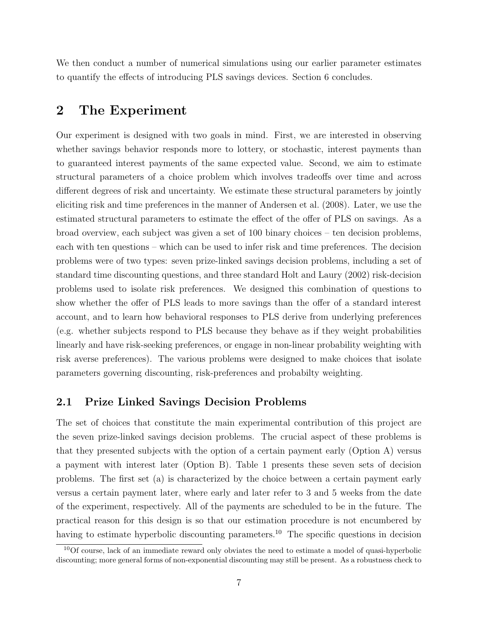We then conduct a number of numerical simulations using our earlier parameter estimates to quantify the effects of introducing PLS savings devices. Section [6](#page-35-0) concludes.

## 2 The Experiment

Our experiment is designed with two goals in mind. First, we are interested in observing whether savings behavior responds more to lottery, or stochastic, interest payments than to guaranteed interest payments of the same expected value. Second, we aim to estimate structural parameters of a choice problem which involves tradeoffs over time and across different degrees of risk and uncertainty. We estimate these structural parameters by jointly eliciting risk and time preferences in the manner of [Andersen et al.](#page-38-1) [\(2008\)](#page-38-1). Later, we use the estimated structural parameters to estimate the effect of the offer of PLS on savings. As a broad overview, each subject was given a set of 100 binary choices – ten decision problems, each with ten questions – which can be used to infer risk and time preferences. The decision problems were of two types: seven prize-linked savings decision problems, including a set of standard time discounting questions, and three standard [Holt and Laury](#page-40-3) [\(2002\)](#page-40-3) risk-decision problems used to isolate risk preferences. We designed this combination of questions to show whether the offer of PLS leads to more savings than the offer of a standard interest account, and to learn how behavioral responses to PLS derive from underlying preferences (e.g. whether subjects respond to PLS because they behave as if they weight probabilities linearly and have risk-seeking preferences, or engage in non-linear probability weighting with risk averse preferences). The various problems were designed to make choices that isolate parameters governing discounting, risk-preferences and probabilty weighting.

### 2.1 Prize Linked Savings Decision Problems

The set of choices that constitute the main experimental contribution of this project are the seven prize-linked savings decision problems. The crucial aspect of these problems is that they presented subjects with the option of a certain payment early (Option A) versus a payment with interest later (Option B). Table [1](#page-8-0) presents these seven sets of decision problems. The first set (a) is characterized by the choice between a certain payment early versus a certain payment later, where early and later refer to 3 and 5 weeks from the date of the experiment, respectively. All of the payments are scheduled to be in the future. The practical reason for this design is so that our estimation procedure is not encumbered by having to estimate hyperbolic discounting parameters.<sup>[10](#page-6-0)</sup> The specific questions in decision

<span id="page-6-0"></span><sup>10</sup>Of course, lack of an immediate reward only obviates the need to estimate a model of quasi-hyperbolic discounting; more general forms of non-exponential discounting may still be present. As a robustness check to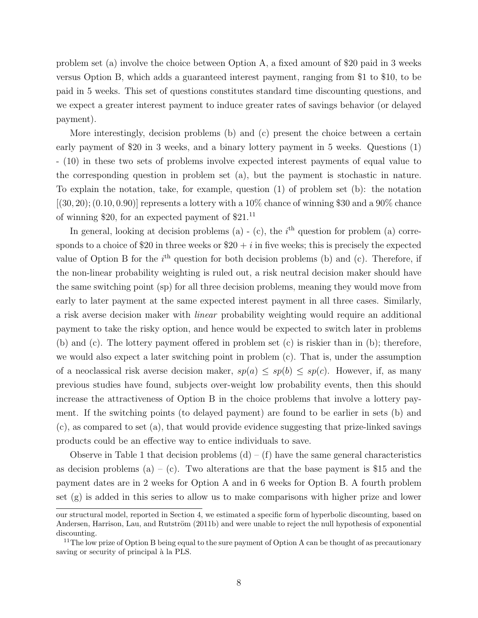problem set (a) involve the choice between Option A, a fixed amount of \$20 paid in 3 weeks versus Option B, which adds a guaranteed interest payment, ranging from \$1 to \$10, to be paid in 5 weeks. This set of questions constitutes standard time discounting questions, and we expect a greater interest payment to induce greater rates of savings behavior (or delayed payment).

More interestingly, decision problems (b) and (c) present the choice between a certain early payment of \$20 in 3 weeks, and a binary lottery payment in 5 weeks. Questions (1) - (10) in these two sets of problems involve expected interest payments of equal value to the corresponding question in problem set (a), but the payment is stochastic in nature. To explain the notation, take, for example, question (1) of problem set (b): the notation  $(30, 20)$ ;  $(0.10, 0.90)$ ] represents a lottery with a 10% chance of winning \$30 and a 90% chance of winning \$20, for an expected payment of \$21.[11](#page-7-0)

In general, looking at decision problems (a) - (c), the  $i<sup>th</sup>$  question for problem (a) corresponds to a choice of \$20 in three weeks or  $20 + i$  in five weeks; this is precisely the expected value of Option B for the  $i<sup>th</sup>$  question for both decision problems (b) and (c). Therefore, if the non-linear probability weighting is ruled out, a risk neutral decision maker should have the same switching point (sp) for all three decision problems, meaning they would move from early to later payment at the same expected interest payment in all three cases. Similarly, a risk averse decision maker with linear probability weighting would require an additional payment to take the risky option, and hence would be expected to switch later in problems (b) and (c). The lottery payment offered in problem set (c) is riskier than in (b); therefore, we would also expect a later switching point in problem (c). That is, under the assumption of a neoclassical risk averse decision maker,  $sp(a) \leq sp(b) \leq sp(c)$ . However, if, as many previous studies have found, subjects over-weight low probability events, then this should increase the attractiveness of Option B in the choice problems that involve a lottery payment. If the switching points (to delayed payment) are found to be earlier in sets (b) and (c), as compared to set (a), that would provide evidence suggesting that prize-linked savings products could be an effective way to entice individuals to save.

Observe in Table [1](#page-8-0) that decision problems  $(d) - (f)$  have the same general characteristics as decision problems (a) – (c). Two alterations are that the base payment is \$15 and the payment dates are in 2 weeks for Option A and in 6 weeks for Option B. A fourth problem set (g) is added in this series to allow us to make comparisons with higher prize and lower

our structural model, reported in Section [4,](#page-20-0) we estimated a specific form of hyperbolic discounting, based on Andersen, Harrison, Lau, and Rutström [\(2011b\)](#page-38-3) and were unable to reject the null hypothesis of exponential discounting.

<span id="page-7-0"></span><sup>&</sup>lt;sup>11</sup>The low prize of Option B being equal to the sure payment of Option A can be thought of as precautionary saving or security of principal à la PLS.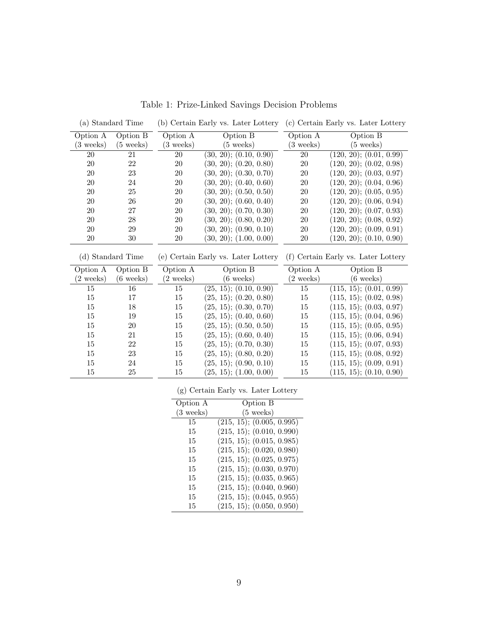<span id="page-8-0"></span>

|              | (a) Standard Time   |                     | (b) Certain Early vs. Later Lottery              |                     | (c) Certain Early vs. Later Lottery                |
|--------------|---------------------|---------------------|--------------------------------------------------|---------------------|----------------------------------------------------|
| Option A     | Option B            | Option A            | Option B                                         | Option A            | Option B                                           |
| (3 weeks)    | $(5 \text{ weeks})$ | $(3 \text{ weeks})$ | $(5 \text{ weeks})$                              | $(3 \text{ weeks})$ | $(5 \text{ weeks})$                                |
| 20           | 21                  | 20                  | (30, 20); (0.10, 0.90)                           | $20\,$              | (120, 20); (0.01, 0.99)                            |
| 20           | 22                  | $20\,$              | (30, 20); (0.20, 0.80)                           | 20                  | (120, 20); (0.02, 0.98)                            |
| 20           | 23                  | $20\,$              | (30, 20); (0.30, 0.70)                           | $20\,$              | (120, 20); (0.03, 0.97)                            |
| $20\,$       | 24                  | $20\,$              | (30, 20); (0.40, 0.60)                           | $20\,$              | (120, 20); (0.04, 0.96)                            |
| 20           | 25                  | $20\,$              | (30, 20); (0.50, 0.50)                           | $20\,$              | (120, 20); (0.05, 0.95)                            |
| 20           | $26\,$              | $20\,$              | (30, 20); (0.60, 0.40)                           | $20\,$              | (120, 20); (0.06, 0.94)                            |
| 20           | 27                  | $20\,$              | (30, 20); (0.70, 0.30)                           | $20\,$              | (120, 20); (0.07, 0.93)                            |
| 20           | $28\,$              | $20\,$              | (30, 20); (0.80, 0.20)                           | $20\,$              | (120, 20); (0.08, 0.92)                            |
| 20           | 29                  | 20                  | (30, 20); (0.90, 0.10)                           | $20\,$              | (120, 20); (0.09, 0.91)                            |
| $20\,$       | $30\,$              | 20                  | (30, 20); (1.00, 0.00)                           | 20                  | (120, 20); (0.10, 0.90)                            |
|              | (d) Standard Time   |                     | (e) Certain Early vs. Later Lottery              |                     | (f) Certain Early vs. Later Lottery                |
| Option A     | Option B            | Option A            | Option B                                         | Option A            | Option B                                           |
| (2 weeks)    | $(6 \text{ weeks})$ | $(2 \text{ weeks})$ | $(6 \text{ weeks})$                              | $(2 \text{ weeks})$ | $(6 \text{ weeks})$                                |
| 15           | 16                  | 15                  | (25, 15); (0.10, 0.90)                           | 15                  | (115, 15); (0.01, 0.99)                            |
| $15\,$       | 17                  | $15\,$              | (25, 15); (0.20, 0.80)                           | 15                  | (115, 15); (0.02, 0.98)                            |
| 15           | $18\,$              | 15                  | (25, 15); (0.30, 0.70)                           | 15                  | (115, 15); (0.03, 0.97)                            |
| 15           | 19                  | 15                  | (25, 15); (0.40, 0.60)                           | 15                  | (115, 15); (0.04, 0.96)                            |
| 15           | $20\,$              | $15\,$              | (25, 15); (0.50, 0.50)                           | 15                  | (115, 15); (0.05, 0.95)                            |
| 15           | 21                  | $15\,$              | (25, 15); (0.60, 0.40)                           | 15                  | (115, 15); (0.06, 0.94)                            |
| 15           |                     |                     |                                                  |                     |                                                    |
|              | $22\,$              | $15\,$              | (25, 15); (0.70, 0.30)                           | $15\,$              | (115, 15); (0.07, 0.93)                            |
| 15           | $23\,$              | $15\,$              | (25, 15); (0.80, 0.20)                           | $15\,$              | (115, 15); (0.08, 0.92)                            |
| 15<br>$15\,$ | 24<br>$25\,$        | $15\,$              | (25, 15); (0.90, 0.10)<br>(25, 15); (1.00, 0.00) | 15                  | (115, 15); (0.09, 0.91)<br>(115, 15); (0.10, 0.90) |

Table 1: Prize-Linked Savings Decision Problems

|  |  | (g) Certain Early vs. Later Lottery |
|--|--|-------------------------------------|
|  |  |                                     |

| Option B                  |
|---------------------------|
| $(5 \text{ weeks})$       |
| (215, 15); (0.005, 0.995) |
| (215, 15); (0.010, 0.990) |
| (215, 15); (0.015, 0.985) |
| (215, 15); (0.020, 0.980) |
| (215, 15); (0.025, 0.975) |
| (215, 15); (0.030, 0.970) |
| (215, 15); (0.035, 0.965) |
| (215, 15); (0.040, 0.960) |
| (215, 15); (0.045, 0.955) |
| (215, 15); (0.050, 0.950) |
|                           |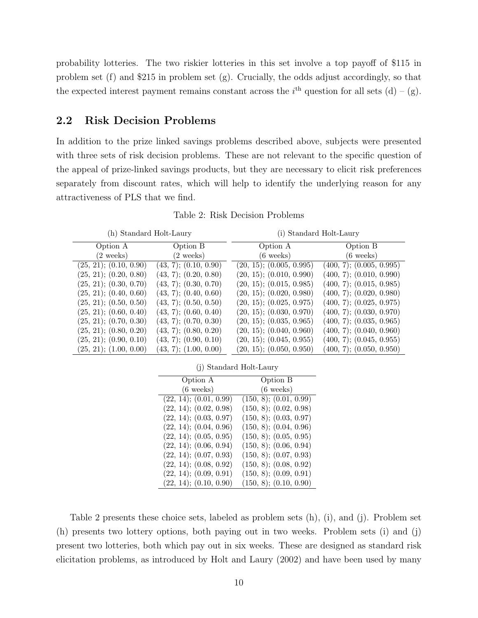probability lotteries. The two riskier lotteries in this set involve a top payoff of \$115 in problem set (f) and \$215 in problem set (g). Crucially, the odds adjust accordingly, so that the expected interest payment remains constant across the  $i<sup>th</sup>$  question for all sets (d) – (g).

### 2.2 Risk Decision Problems

In addition to the prize linked savings problems described above, subjects were presented with three sets of risk decision problems. These are not relevant to the specific question of the appeal of prize-linked savings products, but they are necessary to elicit risk preferences separately from discount rates, which will help to identify the underlying reason for any attractiveness of PLS that we find.

|  |  | (h) Standard Holt-Laury |
|--|--|-------------------------|
|--|--|-------------------------|

(i) Standard Holt-Laury

<span id="page-9-0"></span>

| Option A               | Option B              | Option A                 | Option B                 |
|------------------------|-----------------------|--------------------------|--------------------------|
| $(2 \text{ weeks})$    | $(2 \text{ weeks})$   | $(6 \text{ weeks})$      | $(6 \text{ weeks})$      |
| (25, 21); (0.10, 0.90) | (43, 7); (0.10, 0.90) | (20, 15); (0.005, 0.995) | (400, 7); (0.005, 0.995) |
| (25, 21); (0.20, 0.80) | (43, 7); (0.20, 0.80) | (20, 15); (0.010, 0.990) | (400, 7); (0.010, 0.990) |
| (25, 21); (0.30, 0.70) | (43, 7); (0.30, 0.70) | (20, 15); (0.015, 0.985) | (400, 7); (0.015, 0.985) |
| (25, 21); (0.40, 0.60) | (43, 7); (0.40, 0.60) | (20, 15); (0.020, 0.980) | (400, 7); (0.020, 0.980) |
| (25, 21); (0.50, 0.50) | (43, 7); (0.50, 0.50) | (20, 15); (0.025, 0.975) | (400, 7); (0.025, 0.975) |
| (25, 21); (0.60, 0.40) | (43, 7); (0.60, 0.40) | (20, 15); (0.030, 0.970) | (400, 7); (0.030, 0.970) |
| (25, 21); (0.70, 0.30) | (43, 7); (0.70, 0.30) | (20, 15); (0.035, 0.965) | (400, 7); (0.035, 0.965) |
| (25, 21); (0.80, 0.20) | (43, 7); (0.80, 0.20) | (20, 15); (0.040, 0.960) | (400, 7); (0.040, 0.960) |
| (25, 21); (0.90, 0.10) | (43, 7); (0.90, 0.10) | (20, 15); (0.045, 0.955) | (400, 7); (0.045, 0.955) |
| (25, 21); (1.00, 0.00) | (43, 7); (1.00, 0.00) | (20, 15); (0.050, 0.950) | (400, 7); (0.050, 0.950) |
|                        |                       |                          |                          |

| (j) Standard Holt-Laury |  |  |  |
|-------------------------|--|--|--|
|-------------------------|--|--|--|

| Option A                    | Option B               |
|-----------------------------|------------------------|
| $(6 \text{ weeks})$         | $(6 \text{ weeks})$    |
| (22, 14); (0.01, 0.99)      | (150, 8); (0.01, 0.99) |
| (22, 14); (0.02, 0.98)      | (150, 8); (0.02, 0.98) |
| $(22, 14)$ ; $(0.03, 0.97)$ | (150, 8); (0.03, 0.97) |
| $(22, 14)$ ; $(0.04, 0.96)$ | (150, 8); (0.04, 0.96) |
| (22, 14); (0.05, 0.95)      | (150, 8); (0.05, 0.95) |
| $(22, 14)$ ; $(0.06, 0.94)$ | (150, 8); (0.06, 0.94) |
| $(22, 14)$ ; $(0.07, 0.93)$ | (150, 8); (0.07, 0.93) |
| (22, 14); (0.08, 0.92)      | (150, 8); (0.08, 0.92) |
| (22, 14); (0.09, 0.91)      | (150, 8); (0.09, 0.91) |
| (22, 14); (0.10, 0.90)      | (150, 8); (0.10, 0.90) |

Table [2](#page-9-0) presents these choice sets, labeled as problem sets (h), (i), and (j). Problem set (h) presents two lottery options, both paying out in two weeks. Problem sets (i) and (j) present two lotteries, both which pay out in six weeks. These are designed as standard risk elicitation problems, as introduced by [Holt and Laury](#page-40-3) [\(2002\)](#page-40-3) and have been used by many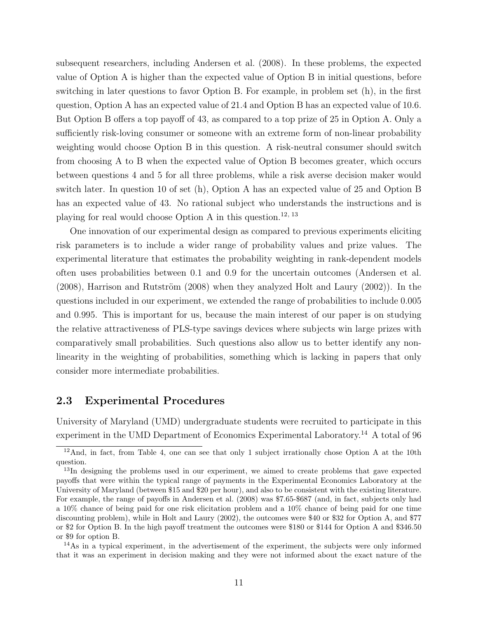subsequent researchers, including [Andersen et al.](#page-38-1) [\(2008\)](#page-38-1). In these problems, the expected value of Option A is higher than the expected value of Option B in initial questions, before switching in later questions to favor Option B. For example, in problem set (h), in the first question, Option A has an expected value of 21.4 and Option B has an expected value of 10.6. But Option B offers a top payoff of 43, as compared to a top prize of 25 in Option A. Only a sufficiently risk-loving consumer or someone with an extreme form of non-linear probability weighting would choose Option B in this question. A risk-neutral consumer should switch from choosing A to B when the expected value of Option B becomes greater, which occurs between questions 4 and 5 for all three problems, while a risk averse decision maker would switch later. In question 10 of set (h), Option A has an expected value of 25 and Option B has an expected value of 43. No rational subject who understands the instructions and is playing for real would choose Option A in this question.<sup>[12](#page-10-0), [13](#page-10-1)</sup>

One innovation of our experimental design as compared to previous experiments eliciting risk parameters is to include a wider range of probability values and prize values. The experimental literature that estimates the probability weighting in rank-dependent models often uses probabilities between 0.1 and 0.9 for the uncertain outcomes [\(Andersen et al.](#page-38-1)  $(2008)$ , Harrison and Rutström  $(2008)$  when they analyzed [Holt and Laury](#page-40-3)  $(2002)$ ). In the questions included in our experiment, we extended the range of probabilities to include 0.005 and 0.995. This is important for us, because the main interest of our paper is on studying the relative attractiveness of PLS-type savings devices where subjects win large prizes with comparatively small probabilities. Such questions also allow us to better identify any nonlinearity in the weighting of probabilities, something which is lacking in papers that only consider more intermediate probabilities.

### 2.3 Experimental Procedures

University of Maryland (UMD) undergraduate students were recruited to participate in this experiment in the UMD Department of Economics Experimental Laboratory.<sup>[14](#page-10-2)</sup> A total of 96

<span id="page-10-0"></span> $12$ And, in fact, from Table [4,](#page-15-0) one can see that only 1 subject irrationally chose Option A at the 10th question.

<span id="page-10-1"></span><sup>&</sup>lt;sup>13</sup>In designing the problems used in our experiment, we aimed to create problems that gave expected payoffs that were within the typical range of payments in the Experimental Economics Laboratory at the University of Maryland (between \$15 and \$20 per hour), and also to be consistent with the existing literature. For example, the range of payoffs in [Andersen et al.](#page-38-1) [\(2008\)](#page-38-1) was \$7.65-\$687 (and, in fact, subjects only had a 10% chance of being paid for one risk elicitation problem and a 10% chance of being paid for one time discounting problem), while in [Holt and Laury](#page-40-3) [\(2002\)](#page-40-3), the outcomes were \$40 or \$32 for Option A, and \$77 or \$2 for Option B. In the high payoff treatment the outcomes were \$180 or \$144 for Option A and \$346.50 or \$9 for option B.

<span id="page-10-2"></span><sup>&</sup>lt;sup>14</sup>As in a typical experiment, in the advertisement of the experiment, the subjects were only informed that it was an experiment in decision making and they were not informed about the exact nature of the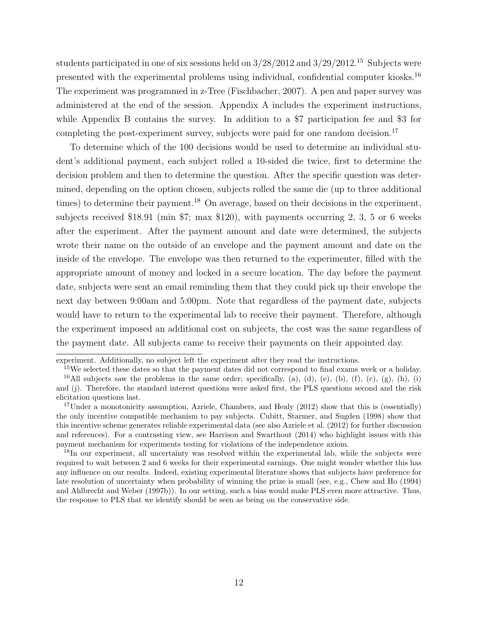students participated in one of six sessions held on  $3/28/2012$  and  $3/29/2012$ .<sup>[15](#page-11-0)</sup> Subjects were presented with the experimental problems using individual, confidential computer kiosks.[16](#page-11-1) The experiment was programmed in z-Tree [\(Fischbacher,](#page-40-5) [2007\)](#page-40-5). A pen and paper survey was administered at the end of the session. Appendix [A](#page-42-7) includes the experiment instructions, while Appendix [B](#page-45-0) contains the survey. In addition to a \$7 participation fee and \$3 for completing the post-experiment survey, subjects were paid for one random decision.<sup>[17](#page-11-2)</sup>

To determine which of the 100 decisions would be used to determine an individual student's additional payment, each subject rolled a 10-sided die twice, first to determine the decision problem and then to determine the question. After the specific question was determined, depending on the option chosen, subjects rolled the same die (up to three additional times) to determine their payment.<sup>[18](#page-11-3)</sup> On average, based on their decisions in the experiment, subjects received \$18.91 (min \$7; max \$120), with payments occurring 2, 3, 5 or 6 weeks after the experiment. After the payment amount and date were determined, the subjects wrote their name on the outside of an envelope and the payment amount and date on the inside of the envelope. The envelope was then returned to the experimenter, filled with the appropriate amount of money and locked in a secure location. The day before the payment date, subjects were sent an email reminding them that they could pick up their envelope the next day between 9:00am and 5:00pm. Note that regardless of the payment date, subjects would have to return to the experimental lab to receive their payment. Therefore, although the experiment imposed an additional cost on subjects, the cost was the same regardless of the payment date. All subjects came to receive their payments on their appointed day.

experiment. Additionally, no subject left the experiment after they read the instructions.

<span id="page-11-1"></span><span id="page-11-0"></span><sup>&</sup>lt;sup>15</sup>We selected these dates so that the payment dates did not correspond to final exams week or a holiday.  $16$ All subjects saw the problems in the same order; specifically, (a), (d), (e), (b), (f), (c), (g), (h), (i) and (j). Therefore, the standard interest questions were asked first, the PLS questions second and the risk elicitation questions last.

<span id="page-11-2"></span><sup>&</sup>lt;sup>17</sup>Under a monotonicity assumption, [Azriele, Chambers, and Healy](#page-39-8)  $(2012)$  show that this is (essentially) the only incentive compatible mechanism to pay subjects. [Cubitt, Starmer, and Sugden](#page-40-6) [\(1998\)](#page-40-6) show that this incentive scheme generates reliable experimental data (see also [Azriele et al.](#page-39-8) [\(2012\)](#page-39-8) for further discussion and references). For a contrasting view, see [Harrison and Swarthout](#page-40-7) [\(2014\)](#page-40-7) who highlight issues with this payment mechanism for experiments testing for violations of the independence axiom.

<span id="page-11-3"></span><sup>18</sup>In our experiment, all uncertainty was resolved within the experimental lab, while the subjects were required to wait between 2 and 6 weeks for their experimental earnings. One might wonder whether this has any influence on our results. Indeed, existing experimental literature shows that subjects have preference for late resolution of uncertainty when probability of winning the prize is small (see, e.g., [Chew and Ho](#page-39-9) [\(1994\)](#page-39-9) and [Ahlbrecht and Weber](#page-38-4) [\(1997b\)](#page-38-4)). In our setting, such a bias would make PLS even more attractive. Thus, the response to PLS that we identify should be seen as being on the conservative side.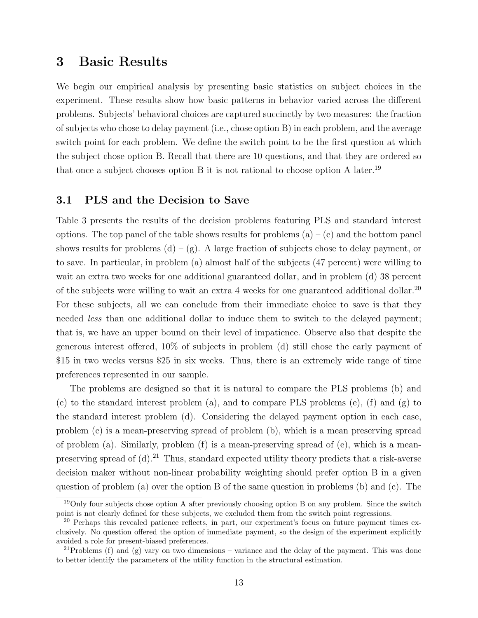## <span id="page-12-0"></span>3 Basic Results

We begin our empirical analysis by presenting basic statistics on subject choices in the experiment. These results show how basic patterns in behavior varied across the different problems. Subjects' behavioral choices are captured succinctly by two measures: the fraction of subjects who chose to delay payment (i.e., chose option B) in each problem, and the average switch point for each problem. We define the switch point to be the first question at which the subject chose option B. Recall that there are 10 questions, and that they are ordered so that once a subject chooses option B it is not rational to choose option A later.[19](#page-12-1)

#### 3.1 PLS and the Decision to Save

Table [3](#page-13-0) presents the results of the decision problems featuring PLS and standard interest options. The top panel of the table shows results for problems  $(a) - (c)$  and the bottom panel shows results for problems  $(d) - (g)$ . A large fraction of subjects chose to delay payment, or to save. In particular, in problem (a) almost half of the subjects (47 percent) were willing to wait an extra two weeks for one additional guaranteed dollar, and in problem (d) 38 percent of the subjects were willing to wait an extra 4 weeks for one guaranteed additional dollar.[20](#page-12-2) For these subjects, all we can conclude from their immediate choice to save is that they needed *less* than one additional dollar to induce them to switch to the delayed payment; that is, we have an upper bound on their level of impatience. Observe also that despite the generous interest offered, 10% of subjects in problem (d) still chose the early payment of \$15 in two weeks versus \$25 in six weeks. Thus, there is an extremely wide range of time preferences represented in our sample.

The problems are designed so that it is natural to compare the PLS problems (b) and (c) to the standard interest problem (a), and to compare PLS problems (e), (f) and (g) to the standard interest problem (d). Considering the delayed payment option in each case, problem (c) is a mean-preserving spread of problem (b), which is a mean preserving spread of problem (a). Similarly, problem (f) is a mean-preserving spread of  $(e)$ , which is a meanpreserving spread of  $(d)$ .<sup>[21](#page-12-3)</sup> Thus, standard expected utility theory predicts that a risk-averse decision maker without non-linear probability weighting should prefer option B in a given question of problem (a) over the option B of the same question in problems (b) and (c). The

<span id="page-12-1"></span><sup>&</sup>lt;sup>19</sup>Only four subjects chose option A after previously choosing option B on any problem. Since the switch point is not clearly defined for these subjects, we excluded them from the switch point regressions.

<span id="page-12-2"></span><sup>&</sup>lt;sup>20</sup> Perhaps this revealed patience reflects, in part, our experiment's focus on future payment times exclusively. No question offered the option of immediate payment, so the design of the experiment explicitly avoided a role for present-biased preferences.

<span id="page-12-3"></span><sup>&</sup>lt;sup>21</sup>Problems (f) and (g) vary on two dimensions – variance and the delay of the payment. This was done to better identify the parameters of the utility function in the structural estimation.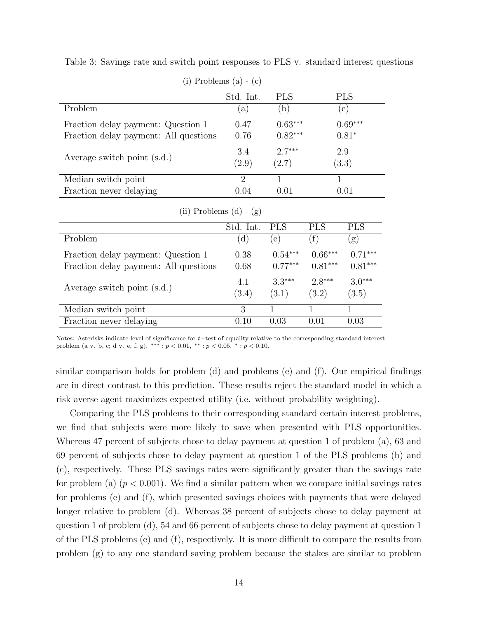|                                       | Std. Int.                            | <b>PLS</b>          | <b>PLS</b> |
|---------------------------------------|--------------------------------------|---------------------|------------|
| Problem                               | $\lbrack a \rbrack$                  | $\lfloor b \rfloor$ | $\vert$ C  |
| Fraction delay payment: Question 1    | 0.47                                 | $0.63***$           | $0.69***$  |
| Fraction delay payment: All questions | 0.76                                 | $0.82***$           | $0.81*$    |
|                                       | 3.4                                  | $2.7***$            | 2.9        |
|                                       | Average switch point (s.d.)<br>(2.9) |                     | (3.3)      |
| Median switch point                   | 2                                    |                     |            |
| Fraction never delaying               | 0.04                                 | 0.01                | 0.01       |
|                                       |                                      |                     |            |

 $(i)$  Problems  $(a) - (c)$ 

<span id="page-13-0"></span>Table 3: Savings rate and switch point responses to PLS v. standard interest questions

| $(ii)$ Problems $(d)$ - $(g)$                                               |              |                        |                        |                        |
|-----------------------------------------------------------------------------|--------------|------------------------|------------------------|------------------------|
|                                                                             | Std. Int.    | <b>PLS</b>             | <b>PLS</b>             | <b>PLS</b>             |
| Problem                                                                     | (d)          | (e)                    | (f)                    | (g)                    |
| Fraction delay payment: Question 1<br>Fraction delay payment: All questions | 0.38<br>0.68 | $0.54***$<br>$0.77***$ | $0.66***$<br>$0.81***$ | $0.71***$<br>$0.81***$ |
| Average switch point (s.d.)                                                 | 4.1<br>(3.4) | $3.3***$<br>(3.1)      | $2.8***$<br>(3.2)      | $3.0***$<br>(3.5)      |
| Median switch point                                                         | 3            |                        | 1                      | 1                      |
| Fraction never delaying                                                     | 0.10         | 0.03                   | 0.01                   | 0.03                   |

Notes: Asterisks indicate level of significance for t−test of equality relative to the corresponding standard interest problem (a v. b, c; d v. e, f, g). \*\*\* :  $p < 0.01$ , \*\* :  $p < 0.05$ , \* :  $p < 0.10$ .

similar comparison holds for problem (d) and problems (e) and (f). Our empirical findings are in direct contrast to this prediction. These results reject the standard model in which a risk averse agent maximizes expected utility (i.e. without probability weighting).

Comparing the PLS problems to their corresponding standard certain interest problems, we find that subjects were more likely to save when presented with PLS opportunities. Whereas 47 percent of subjects chose to delay payment at question 1 of problem (a), 63 and 69 percent of subjects chose to delay payment at question 1 of the PLS problems (b) and (c), respectively. These PLS savings rates were significantly greater than the savings rate for problem (a)  $(p < 0.001)$ . We find a similar pattern when we compare initial savings rates for problems (e) and (f), which presented savings choices with payments that were delayed longer relative to problem (d). Whereas 38 percent of subjects chose to delay payment at question 1 of problem (d), 54 and 66 percent of subjects chose to delay payment at question 1 of the PLS problems (e) and (f), respectively. It is more difficult to compare the results from problem (g) to any one standard saving problem because the stakes are similar to problem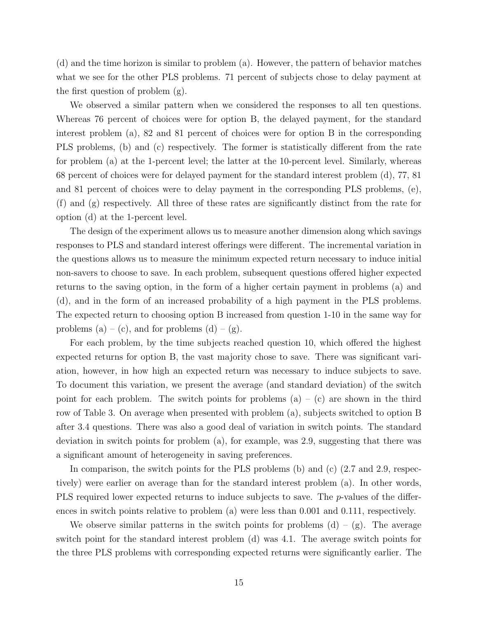(d) and the time horizon is similar to problem (a). However, the pattern of behavior matches what we see for the other PLS problems. 71 percent of subjects chose to delay payment at the first question of problem (g).

We observed a similar pattern when we considered the responses to all ten questions. Whereas 76 percent of choices were for option B, the delayed payment, for the standard interest problem (a), 82 and 81 percent of choices were for option B in the corresponding PLS problems, (b) and (c) respectively. The former is statistically different from the rate for problem (a) at the 1-percent level; the latter at the 10-percent level. Similarly, whereas 68 percent of choices were for delayed payment for the standard interest problem (d), 77, 81 and 81 percent of choices were to delay payment in the corresponding PLS problems, (e), (f) and (g) respectively. All three of these rates are significantly distinct from the rate for option (d) at the 1-percent level.

The design of the experiment allows us to measure another dimension along which savings responses to PLS and standard interest offerings were different. The incremental variation in the questions allows us to measure the minimum expected return necessary to induce initial non-savers to choose to save. In each problem, subsequent questions offered higher expected returns to the saving option, in the form of a higher certain payment in problems (a) and (d), and in the form of an increased probability of a high payment in the PLS problems. The expected return to choosing option B increased from question 1-10 in the same way for problems  $(a) - (c)$ , and for problems  $(d) - (g)$ .

For each problem, by the time subjects reached question 10, which offered the highest expected returns for option B, the vast majority chose to save. There was significant variation, however, in how high an expected return was necessary to induce subjects to save. To document this variation, we present the average (and standard deviation) of the switch point for each problem. The switch points for problems  $(a) - (c)$  are shown in the third row of Table [3.](#page-13-0) On average when presented with problem (a), subjects switched to option B after 3.4 questions. There was also a good deal of variation in switch points. The standard deviation in switch points for problem (a), for example, was 2.9, suggesting that there was a significant amount of heterogeneity in saving preferences.

In comparison, the switch points for the PLS problems (b) and (c)  $(2.7 \text{ and } 2.9)$ , respectively) were earlier on average than for the standard interest problem (a). In other words, PLS required lower expected returns to induce subjects to save. The p-values of the differences in switch points relative to problem (a) were less than 0.001 and 0.111, respectively.

We observe similar patterns in the switch points for problems  $(d) - (g)$ . The average switch point for the standard interest problem (d) was 4.1. The average switch points for the three PLS problems with corresponding expected returns were significantly earlier. The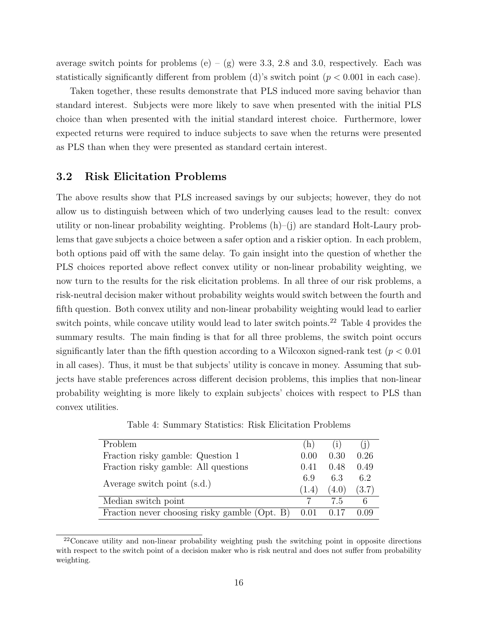average switch points for problems (e) – (g) were 3.3, 2.8 and 3.0, respectively. Each was statistically significantly different from problem (d)'s switch point  $(p < 0.001$  in each case).

Taken together, these results demonstrate that PLS induced more saving behavior than standard interest. Subjects were more likely to save when presented with the initial PLS choice than when presented with the initial standard interest choice. Furthermore, lower expected returns were required to induce subjects to save when the returns were presented as PLS than when they were presented as standard certain interest.

### 3.2 Risk Elicitation Problems

The above results show that PLS increased savings by our subjects; however, they do not allow us to distinguish between which of two underlying causes lead to the result: convex utility or non-linear probability weighting. Problems  $(h)$ –(j) are standard Holt-Laury problems that gave subjects a choice between a safer option and a riskier option. In each problem, both options paid off with the same delay. To gain insight into the question of whether the PLS choices reported above reflect convex utility or non-linear probability weighting, we now turn to the results for the risk elicitation problems. In all three of our risk problems, a risk-neutral decision maker without probability weights would switch between the fourth and fifth question. Both convex utility and non-linear probability weighting would lead to earlier switch points, while concave utility would lead to later switch points.<sup>[22](#page-15-1)</sup> Table [4](#page-15-0) provides the summary results. The main finding is that for all three problems, the switch point occurs significantly later than the fifth question according to a Wilcoxon signed-rank test ( $p < 0.01$ ) in all cases). Thus, it must be that subjects' utility is concave in money. Assuming that subjects have stable preferences across different decision problems, this implies that non-linear probability weighting is more likely to explain subjects' choices with respect to PLS than convex utilities.

Table 4: Summary Statistics: Risk Elicitation Problems

<span id="page-15-0"></span>

| Problem                                       | (h)    |       |       |
|-----------------------------------------------|--------|-------|-------|
| Fraction risky gamble: Question 1             | (1.00) | 0.30  | 0.26  |
| Fraction risky gamble: All questions          | 0.41   | 0.48  | 0.49  |
| Average switch point (s.d.)                   | 6.9    | 6.3   | 6.2   |
|                                               | (1.4)  | (4.0) | (3.7) |
| Median switch point                           |        | 75    |       |
| Fraction never choosing risky gamble (Opt. B) | 0.01   | 0.17  | 0.09  |

<span id="page-15-1"></span> $22$ Concave utility and non-linear probability weighting push the switching point in opposite directions with respect to the switch point of a decision maker who is risk neutral and does not suffer from probability weighting.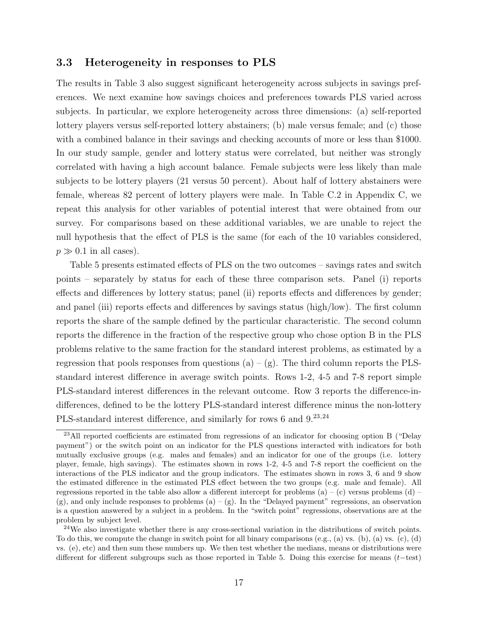#### 3.3 Heterogeneity in responses to PLS

The results in Table [3](#page-13-0) also suggest significant heterogeneity across subjects in savings preferences. We next examine how savings choices and preferences towards PLS varied across subjects. In particular, we explore heterogeneity across three dimensions: (a) self-reported lottery players versus self-reported lottery abstainers; (b) male versus female; and (c) those with a combined balance in their savings and checking accounts of more or less than \$1000. In our study sample, gender and lottery status were correlated, but neither was strongly correlated with having a high account balance. Female subjects were less likely than male subjects to be lottery players (21 versus 50 percent). About half of lottery abstainers were female, whereas 82 percent of lottery players were male. In Table [C.2](#page-50-0) in Appendix [C,](#page-48-0) we repeat this analysis for other variables of potential interest that were obtained from our survey. For comparisons based on these additional variables, we are unable to reject the null hypothesis that the effect of PLS is the same (for each of the 10 variables considered,  $p \gg 0.1$  in all cases).

Table [5](#page-17-0) presents estimated effects of PLS on the two outcomes – savings rates and switch points – separately by status for each of these three comparison sets. Panel (i) reports effects and differences by lottery status; panel (ii) reports effects and differences by gender; and panel (iii) reports effects and differences by savings status (high/low). The first column reports the share of the sample defined by the particular characteristic. The second column reports the difference in the fraction of the respective group who chose option B in the PLS problems relative to the same fraction for the standard interest problems, as estimated by a regression that pools responses from questions (a) – (g). The third column reports the PLSstandard interest difference in average switch points. Rows 1-2, 4-5 and 7-8 report simple PLS-standard interest differences in the relevant outcome. Row 3 reports the difference-indifferences, defined to be the lottery PLS-standard interest difference minus the non-lottery PLS-standard interest difference, and similarly for rows  $6$  and  $9^{23,24}$  $9^{23,24}$  $9^{23,24}$  $9^{23,24}$  $9^{23,24}$ 

<span id="page-16-0"></span><sup>&</sup>lt;sup>23</sup>All reported coefficients are estimated from regressions of an indicator for choosing option B ("Delay payment") or the switch point on an indicator for the PLS questions interacted with indicators for both mutually exclusive groups (e.g. males and females) and an indicator for one of the groups (i.e. lottery player, female, high savings). The estimates shown in rows 1-2, 4-5 and 7-8 report the coefficient on the interactions of the PLS indicator and the group indicators. The estimates shown in rows 3, 6 and 9 show the estimated difference in the estimated PLS effect between the two groups (e.g. male and female). All regressions reported in the table also allow a different intercept for problems  $(a) - (c)$  versus problems  $(d)$  $(g)$ , and only include responses to problems  $(a) - (g)$ . In the "Delayed payment" regressions, an observation is a question answered by a subject in a problem. In the "switch point" regressions, observations are at the problem by subject level.

<span id="page-16-1"></span><sup>&</sup>lt;sup>24</sup>We also investigate whether there is any cross-sectional variation in the distributions of switch points. To do this, we compute the change in switch point for all binary comparisons (e.g., (a) vs. (b), (a) vs. (c), (d) vs. (e), etc) and then sum these numbers up. We then test whether the medians, means or distributions were different for different subgroups such as those reported in Table [5.](#page-17-0) Doing this exercise for means (t−test)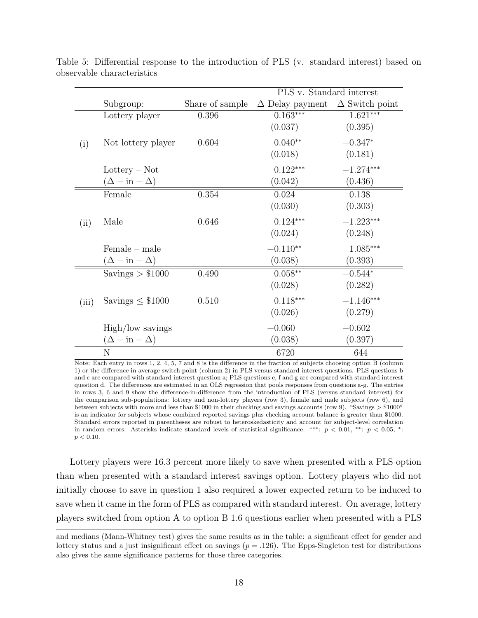|       |                          |                 | PLS v. Standard interest |                       |  |
|-------|--------------------------|-----------------|--------------------------|-----------------------|--|
|       | Subgroup:                | Share of sample | $\Delta$ Delay payment   | $\Delta$ Switch point |  |
|       | Lottery player           | 0.396           | $0.163***$               | $-1.621***$           |  |
|       |                          |                 | (0.037)                  | (0.395)               |  |
| (i)   | Not lottery player       | 0.604           | $0.040**$                | $-0.347*$             |  |
|       |                          |                 | (0.018)                  | (0.181)               |  |
|       | $Lottery - Not$          |                 | $0.122***$               | $-1.274***$           |  |
|       | $(\Delta - in - \Delta)$ |                 | (0.042)                  | (0.436)               |  |
|       | Female                   | 0.354           | 0.024                    | $-0.138$              |  |
|       |                          |                 | (0.030)                  | (0.303)               |  |
| (ii)  | Male                     | 0.646           | $0.124***$               | $-1.223***$           |  |
|       |                          |                 | (0.024)                  | (0.248)               |  |
|       | $Female - male$          |                 | $-0.110**$               | $1.085***$            |  |
|       | $(\Delta - in - \Delta)$ |                 | (0.038)                  | (0.393)               |  |
|       | Savings $> $1000$        | 0.490           | $0.058**$                | $-0.544*$             |  |
|       |                          |                 | (0.028)                  | (0.282)               |  |
| (iii) | Savings $\leq$ \$1000    | 0.510           | $0.118***$               | $-1.146***$           |  |
|       |                          |                 | (0.026)                  | (0.279)               |  |
|       | High/low savings         |                 | $-0.060$                 | $-0.602$              |  |
|       | $(\Delta - in - \Delta)$ |                 | (0.038)                  | (0.397)               |  |
|       | N                        |                 | 6720                     | 644                   |  |

<span id="page-17-0"></span>Table 5: Differential response to the introduction of PLS (v. standard interest) based on observable characteristics

Note: Each entry in rows 1, 2, 4, 5, 7 and 8 is the difference in the fraction of subjects choosing option B (column 1) or the difference in average switch point (column 2) in PLS versus standard interest questions. PLS questions b and c are compared with standard interest question a; PLS questions e, f and g are compared with standard interest question d. The differences are estimated in an OLS regression that pools responses from questions a-g. The entries in rows 3, 6 and 9 show the difference-in-difference from the introduction of PLS (versus standard interest) for the comparison sub-populations: lottery and non-lottery players (row 3), female and male subjects (row 6), and between subjects with more and less than \$1000 in their checking and savings accounts (row 9). "Savings > \$1000" is an indicator for subjects whose combined reported savings plus checking account balance is greater than \$1000. Standard errors reported in parentheses are robust to heteroskedasticity and account for subject-level correlation in random errors. Asterisks indicate standard levels of statistical significance. \*\*\*:  $p < 0.01$ , \*\*:  $p < 0.05$ , \*:  $p < 0.10$ .

Lottery players were 16.3 percent more likely to save when presented with a PLS option than when presented with a standard interest savings option. Lottery players who did not initially choose to save in question 1 also required a lower expected return to be induced to save when it came in the form of PLS as compared with standard interest. On average, lottery players switched from option A to option B 1.6 questions earlier when presented with a PLS

and medians (Mann-Whitney test) gives the same results as in the table: a significant effect for gender and lottery status and a just insignificant effect on savings ( $p = .126$ ). The Epps-Singleton test for distributions also gives the same significance patterns for those three categories.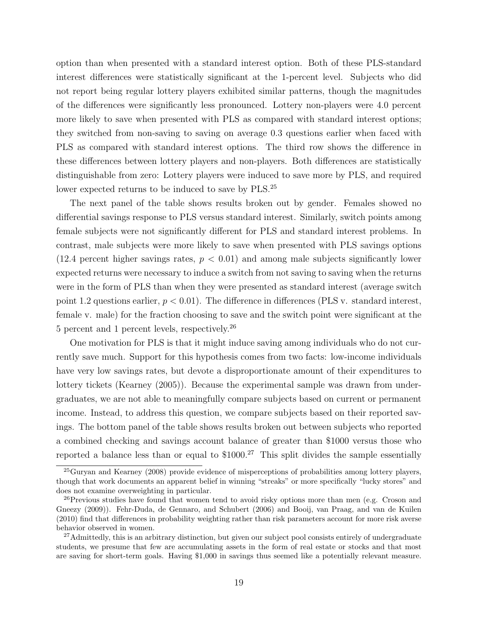option than when presented with a standard interest option. Both of these PLS-standard interest differences were statistically significant at the 1-percent level. Subjects who did not report being regular lottery players exhibited similar patterns, though the magnitudes of the differences were significantly less pronounced. Lottery non-players were 4.0 percent more likely to save when presented with PLS as compared with standard interest options; they switched from non-saving to saving on average 0.3 questions earlier when faced with PLS as compared with standard interest options. The third row shows the difference in these differences between lottery players and non-players. Both differences are statistically distinguishable from zero: Lottery players were induced to save more by PLS, and required lower expected returns to be induced to save by PLS.[25](#page-18-0)

The next panel of the table shows results broken out by gender. Females showed no differential savings response to PLS versus standard interest. Similarly, switch points among female subjects were not significantly different for PLS and standard interest problems. In contrast, male subjects were more likely to save when presented with PLS savings options  $(12.4 \text{ percent higher savings rates}, p < 0.01)$  and among male subjects significantly lower expected returns were necessary to induce a switch from not saving to saving when the returns were in the form of PLS than when they were presented as standard interest (average switch point 1.2 questions earlier,  $p < 0.01$ ). The difference in differences (PLS v. standard interest, female v. male) for the fraction choosing to save and the switch point were significant at the 5 percent and 1 percent levels, respectively.[26](#page-18-1)

One motivation for PLS is that it might induce saving among individuals who do not currently save much. Support for this hypothesis comes from two facts: low-income individuals have very low savings rates, but devote a disproportionate amount of their expenditures to lottery tickets [\(Kearney](#page-41-11) [\(2005\)](#page-41-11)). Because the experimental sample was drawn from undergraduates, we are not able to meaningfully compare subjects based on current or permanent income. Instead, to address this question, we compare subjects based on their reported savings. The bottom panel of the table shows results broken out between subjects who reported a combined checking and savings account balance of greater than \$1000 versus those who reported a balance less than or equal to  $$1000.<sup>27</sup>$  $$1000.<sup>27</sup>$  $$1000.<sup>27</sup>$  This split divides the sample essentially

<span id="page-18-0"></span><sup>25</sup>[Guryan and Kearney](#page-40-8) [\(2008\)](#page-40-8) provide evidence of misperceptions of probabilities among lottery players, though that work documents an apparent belief in winning "streaks" or more specifically "lucky stores" and does not examine overweighting in particular.

<span id="page-18-1"></span> $^{26}$ Previous studies have found that women tend to avoid risky options more than men (e.g. [Croson and](#page-40-9) [Gneezy](#page-40-9) [\(2009\)](#page-40-9)). [Fehr-Duda, de Gennaro, and Schubert](#page-40-10) [\(2006\)](#page-40-10) and [Booij, van Praag, and van de Kuilen](#page-39-10) [\(2010\)](#page-39-10) find that differences in probability weighting rather than risk parameters account for more risk averse behavior observed in women.

<span id="page-18-2"></span><sup>&</sup>lt;sup>27</sup>Admittedly, this is an arbitrary distinction, but given our subject pool consists entirely of undergraduate students, we presume that few are accumulating assets in the form of real estate or stocks and that most are saving for short-term goals. Having \$1,000 in savings thus seemed like a potentially relevant measure.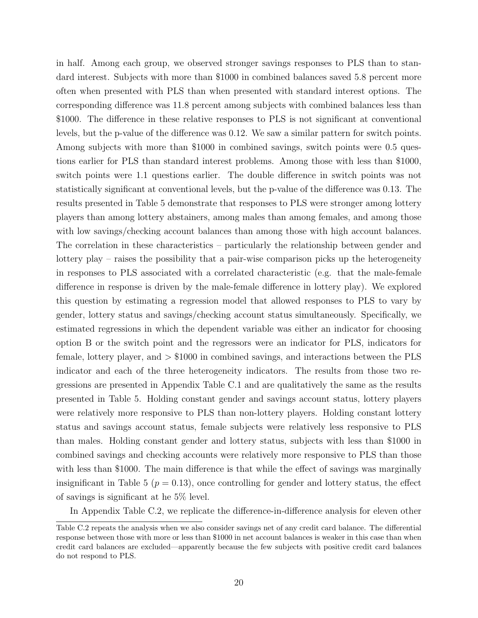in half. Among each group, we observed stronger savings responses to PLS than to standard interest. Subjects with more than \$1000 in combined balances saved 5.8 percent more often when presented with PLS than when presented with standard interest options. The corresponding difference was 11.8 percent among subjects with combined balances less than \$1000. The difference in these relative responses to PLS is not significant at conventional levels, but the p-value of the difference was 0.12. We saw a similar pattern for switch points. Among subjects with more than \$1000 in combined savings, switch points were 0.5 questions earlier for PLS than standard interest problems. Among those with less than \$1000, switch points were 1.1 questions earlier. The double difference in switch points was not statistically significant at conventional levels, but the p-value of the difference was 0.13. The results presented in Table [5](#page-17-0) demonstrate that responses to PLS were stronger among lottery players than among lottery abstainers, among males than among females, and among those with low savings/checking account balances than among those with high account balances. The correlation in these characteristics – particularly the relationship between gender and lottery play – raises the possibility that a pair-wise comparison picks up the heterogeneity in responses to PLS associated with a correlated characteristic (e.g. that the male-female difference in response is driven by the male-female difference in lottery play). We explored this question by estimating a regression model that allowed responses to PLS to vary by gender, lottery status and savings/checking account status simultaneously. Specifically, we estimated regressions in which the dependent variable was either an indicator for choosing option B or the switch point and the regressors were an indicator for PLS, indicators for female, lottery player, and  $> $1000$  in combined savings, and interactions between the PLS indicator and each of the three heterogeneity indicators. The results from those two regressions are presented in Appendix Table [C.1](#page-48-1) and are qualitatively the same as the results presented in Table [5.](#page-17-0) Holding constant gender and savings account status, lottery players were relatively more responsive to PLS than non-lottery players. Holding constant lottery status and savings account status, female subjects were relatively less responsive to PLS than males. Holding constant gender and lottery status, subjects with less than \$1000 in combined savings and checking accounts were relatively more responsive to PLS than those with less than \$1000. The main difference is that while the effect of savings was marginally insignificant in Table [5](#page-17-0) ( $p = 0.13$ ), once controlling for gender and lottery status, the effect of savings is significant at he 5% level.

In Appendix Table [C.2,](#page-50-0) we replicate the difference-in-difference analysis for eleven other

Table [C.2](#page-50-0) repeats the analysis when we also consider savings net of any credit card balance. The differential response between those with more or less than \$1000 in net account balances is weaker in this case than when credit card balances are excluded—apparently because the few subjects with positive credit card balances do not respond to PLS.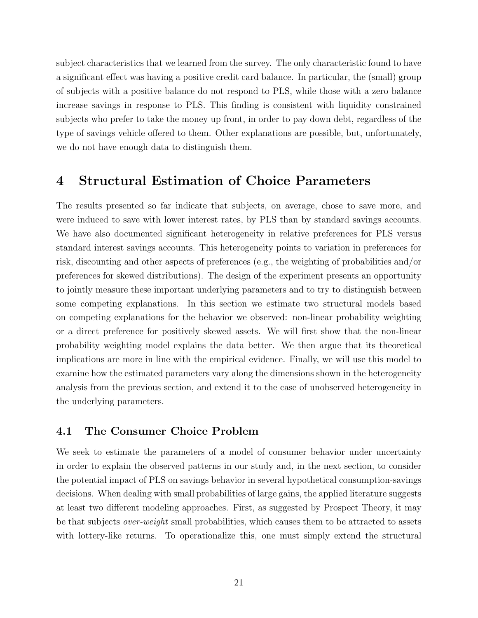subject characteristics that we learned from the survey. The only characteristic found to have a significant effect was having a positive credit card balance. In particular, the (small) group of subjects with a positive balance do not respond to PLS, while those with a zero balance increase savings in response to PLS. This finding is consistent with liquidity constrained subjects who prefer to take the money up front, in order to pay down debt, regardless of the type of savings vehicle offered to them. Other explanations are possible, but, unfortunately, we do not have enough data to distinguish them.

## <span id="page-20-0"></span>4 Structural Estimation of Choice Parameters

The results presented so far indicate that subjects, on average, chose to save more, and were induced to save with lower interest rates, by PLS than by standard savings accounts. We have also documented significant heterogeneity in relative preferences for PLS versus standard interest savings accounts. This heterogeneity points to variation in preferences for risk, discounting and other aspects of preferences (e.g., the weighting of probabilities and/or preferences for skewed distributions). The design of the experiment presents an opportunity to jointly measure these important underlying parameters and to try to distinguish between some competing explanations. In this section we estimate two structural models based on competing explanations for the behavior we observed: non-linear probability weighting or a direct preference for positively skewed assets. We will first show that the non-linear probability weighting model explains the data better. We then argue that its theoretical implications are more in line with the empirical evidence. Finally, we will use this model to examine how the estimated parameters vary along the dimensions shown in the heterogeneity analysis from the previous section, and extend it to the case of unobserved heterogeneity in the underlying parameters.

### 4.1 The Consumer Choice Problem

We seek to estimate the parameters of a model of consumer behavior under uncertainty in order to explain the observed patterns in our study and, in the next section, to consider the potential impact of PLS on savings behavior in several hypothetical consumption-savings decisions. When dealing with small probabilities of large gains, the applied literature suggests at least two different modeling approaches. First, as suggested by Prospect Theory, it may be that subjects *over-weight* small probabilities, which causes them to be attracted to assets with lottery-like returns. To operationalize this, one must simply extend the structural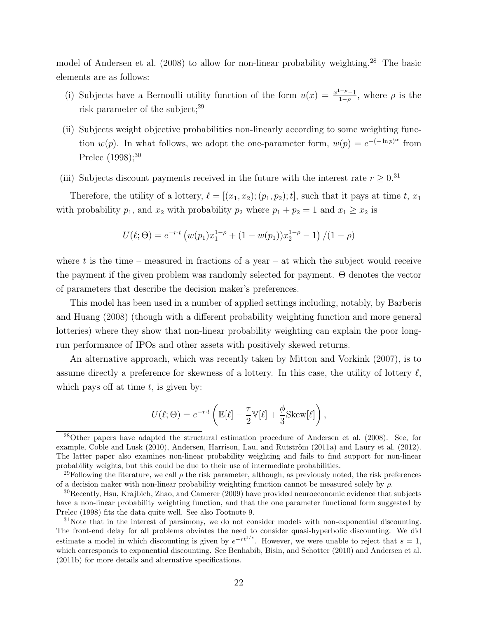model of [Andersen et al.](#page-38-1) [\(2008\)](#page-38-1) to allow for non-linear probability weighting.<sup>[28](#page-21-0)</sup> The basic elements are as follows:

- (i) Subjects have a Bernoulli utility function of the form  $u(x) = \frac{x^{1-\rho}-1}{1-\rho}$  $\frac{1-\rho-1}{1-\rho}$ , where  $\rho$  is the risk parameter of the subject;<sup>[29](#page-21-1)</sup>
- (ii) Subjects weight objective probabilities non-linearly according to some weighting function  $w(p)$ . In what follows, we adopt the one-parameter form,  $w(p) = e^{-(-\ln p)^{\alpha}}$  from [Prelec](#page-41-8)  $(1998)$ ;<sup>[30](#page-21-2)</sup>
- (iii) Subjects discount payments received in the future with the interest rate  $r \geq 0.31$  $r \geq 0.31$

Therefore, the utility of a lottery,  $\ell = [(x_1, x_2); (p_1, p_2); t]$ , such that it pays at time t,  $x_1$ with probability  $p_1$ , and  $x_2$  with probability  $p_2$  where  $p_1 + p_2 = 1$  and  $x_1 \ge x_2$  is

$$
U(\ell; \Theta) = e^{-r \cdot t} \left( w(p_1) x_1^{1-\rho} + (1 - w(p_1)) x_2^{1-\rho} - 1 \right) / (1 - \rho)
$$

where t is the time – measured in fractions of a year – at which the subject would receive the payment if the given problem was randomly selected for payment. Θ denotes the vector of parameters that describe the decision maker's preferences.

This model has been used in a number of applied settings including, notably, by [Barberis](#page-39-2) [and Huang](#page-39-2) [\(2008\)](#page-39-2) (though with a different probability weighting function and more general lotteries) where they show that non-linear probability weighting can explain the poor longrun performance of IPOs and other assets with positively skewed returns.

An alternative approach, which was recently taken by [Mitton and Vorkink](#page-41-2) [\(2007\)](#page-41-2), is to assume directly a preference for skewness of a lottery. In this case, the utility of lottery  $\ell$ , which pays off at time  $t$ , is given by:

$$
U(\ell;\Theta) = e^{-r\cdot t}\left(\mathbb{E}[\ell] - \frac{\tau}{2}\mathbb{V}[\ell] + \frac{\phi}{3}\text{Skew}[\ell]\right),\,
$$

<span id="page-21-0"></span><sup>28</sup>Other papers have adapted the structural estimation procedure of [Andersen et al.](#page-38-1) [\(2008\)](#page-38-1). See, for example, [Coble and Lusk](#page-39-11) [\(2010\)](#page-39-11), Andersen, Harrison, Lau, and Rutström [\(2011a\)](#page-38-5) and [Laury et al.](#page-41-10) [\(2012\)](#page-41-10). The latter paper also examines non-linear probability weighting and fails to find support for non-linear probability weights, but this could be due to their use of intermediate probabilities.

<span id="page-21-1"></span><sup>&</sup>lt;sup>29</sup>Following the literature, we call  $\rho$  the risk parameter, although, as previously noted, the risk preferences of a decision maker with non-linear probability weighting function cannot be measured solely by  $\rho$ .

<span id="page-21-2"></span><sup>30</sup>Recently, [Hsu, Krajbich, Zhao, and Camerer](#page-40-11) [\(2009\)](#page-40-11) have provided neuroeconomic evidence that subjects have a non-linear probability weighting function, and that the one parameter functional form suggested by [Prelec](#page-41-8) [\(1998\)](#page-41-8) fits the data quite well. See also Footnote [9.](#page-4-1)

<span id="page-21-3"></span><sup>&</sup>lt;sup>31</sup>Note that in the interest of parsimony, we do not consider models with non-exponential discounting. The front-end delay for all problems obviates the need to consider quasi-hyperbolic discounting. We did estimate a model in which discounting is given by  $e^{-rt^{1/s}}$ . However, we were unable to reject that  $s=1$ , which corresponds to exponential discounting. See [Benhabib, Bisin, and Schotter](#page-39-12) [\(2010\)](#page-39-12) and [Andersen et al.](#page-38-3) [\(2011b\)](#page-38-3) for more details and alternative specifications.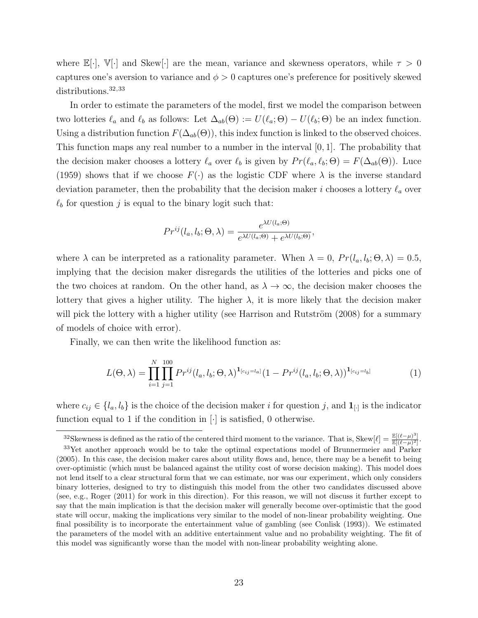where  $\mathbb{E}[\cdot], \mathbb{V}[\cdot]$  and Skew $[\cdot]$  are the mean, variance and skewness operators, while  $\tau > 0$ captures one's aversion to variance and  $\phi > 0$  captures one's preference for positively skewed distributions.<sup>[32](#page-22-0),[33](#page-22-1)</sup>

In order to estimate the parameters of the model, first we model the comparison between two lotteries  $\ell_a$  and  $\ell_b$  as follows: Let  $\Delta_{ab}(\Theta) := U(\ell_a; \Theta) - U(\ell_b; \Theta)$  be an index function. Using a distribution function  $F(\Delta_{ab}(\Theta))$ , this index function is linked to the observed choices. This function maps any real number to a number in the interval [0, 1]. The probability that the decision maker chooses a lottery  $\ell_a$  over  $\ell_b$  is given by  $Pr(\ell_a, \ell_b; \Theta) = F(\Delta_{ab}(\Theta))$ . [Luce](#page-41-12) [\(1959\)](#page-41-12) shows that if we choose  $F(\cdot)$  as the logistic CDF where  $\lambda$  is the inverse standard deviation parameter, then the probability that the decision maker i chooses a lottery  $\ell_a$  over  $\ell_b$  for question j is equal to the binary logit such that:

$$
Pr^{ij}(l_a, l_b; \Theta, \lambda) = \frac{e^{\lambda U(l_a; \Theta)}}{e^{\lambda U(l_a; \Theta)} + e^{\lambda U(l_b; \Theta)}},
$$

where  $\lambda$  can be interpreted as a rationality parameter. When  $\lambda = 0$ ,  $Pr(l_a, l_b; \Theta, \lambda) = 0.5$ , implying that the decision maker disregards the utilities of the lotteries and picks one of the two choices at random. On the other hand, as  $\lambda \to \infty$ , the decision maker chooses the lottery that gives a higher utility. The higher  $\lambda$ , it is more likely that the decision maker will pick the lottery with a higher utility (see Harrison and Rutström  $(2008)$  for a summary of models of choice with error).

Finally, we can then write the likelihood function as:

$$
L(\Theta, \lambda) = \prod_{i=1}^{N} \prod_{j=1}^{100} Pr^{ij}(l_a, l_b; \Theta, \lambda)^{\mathbf{1}_{[c_{ij}=l_a]}} (1 - Pr^{ij}(l_a, l_b; \Theta, \lambda))^{\mathbf{1}_{[c_{ij}=l_b]}}
$$
(1)

where  $c_{ij} \in \{l_a, l_b\}$  is the choice of the decision maker i for question j, and  $\mathbf{1}_{[-]}$  is the indicator function equal to 1 if the condition in  $[\cdot]$  is satisfied, 0 otherwise.

<span id="page-22-1"></span><span id="page-22-0"></span><sup>&</sup>lt;sup>32</sup>Skewness is defined as the ratio of the centered third moment to the variance. That is, Skew $[\ell] = \frac{\mathbb{E}[(\ell-\mu)^3]}{\mathbb{E}[(\ell-\mu)^2]}$ . <sup>33</sup>Yet another approach would be to take the optimal expectations model of [Brunnermeier and Parker](#page-39-13) [\(2005\)](#page-39-13). In this case, the decision maker cares about utility flows and, hence, there may be a benefit to being over-optimistic (which must be balanced against the utility cost of worse decision making). This model does not lend itself to a clear structural form that we can estimate, nor was our experiment, which only considers binary lotteries, designed to try to distinguish this model from the other two candidates discussed above (see, e.g., [Roger](#page-41-13) [\(2011\)](#page-41-13) for work in this direction). For this reason, we will not discuss it further except to say that the main implication is that the decision maker will generally become over-optimistic that the good state will occur, making the implications very similar to the model of non-linear probability weighting. One final possibility is to incorporate the entertainment value of gambling (see [Conlisk](#page-39-1) [\(1993\)](#page-39-1)). We estimated the parameters of the model with an additive entertainment value and no probability weighting. The fit of this model was significantly worse than the model with non-linear probability weighting alone.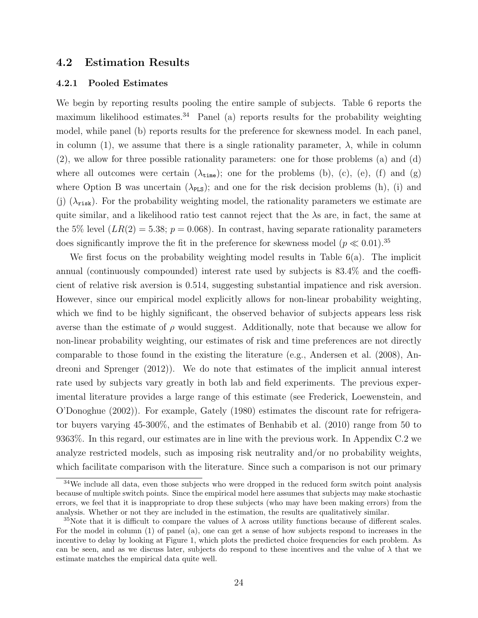### 4.2 Estimation Results

#### 4.2.1 Pooled Estimates

We begin by reporting results pooling the entire sample of subjects. Table [6](#page-24-0) reports the maximum likelihood estimates.<sup>[34](#page-23-0)</sup> Panel (a) reports results for the probability weighting model, while panel (b) reports results for the preference for skewness model. In each panel, in column (1), we assume that there is a single rationality parameter,  $\lambda$ , while in column (2), we allow for three possible rationality parameters: one for those problems (a) and (d) where all outcomes were certain  $(\lambda_{\text{time}})$ ; one for the problems (b), (c), (e), (f) and (g) where Option B was uncertain  $(\lambda_{PLS})$ ; and one for the risk decision problems (h), (i) and (j)  $(\lambda_{\text{risk}})$ . For the probability weighting model, the rationality parameters we estimate are quite similar, and a likelihood ratio test cannot reject that the  $\lambda s$  are, in fact, the same at the 5% level  $(LR(2) = 5.38; p = 0.068)$ . In contrast, having separate rationality parameters does significantly improve the fit in the preference for skewness model ( $p \ll 0.01$ ).<sup>[35](#page-23-1)</sup>

We first focus on the probability weighting model results in Table [6\(](#page-24-0)a). The implicit annual (continuously compounded) interest rate used by subjects is 83.4% and the coefficient of relative risk aversion is 0.514, suggesting substantial impatience and risk aversion. However, since our empirical model explicitly allows for non-linear probability weighting, which we find to be highly significant, the observed behavior of subjects appears less risk averse than the estimate of  $\rho$  would suggest. Additionally, note that because we allow for non-linear probability weighting, our estimates of risk and time preferences are not directly comparable to those found in the existing the literature (e.g., [Andersen et al.](#page-38-1) [\(2008\)](#page-38-1), [An](#page-39-6)[dreoni and Sprenger](#page-39-6) [\(2012\)](#page-39-6)). We do note that estimates of the implicit annual interest rate used by subjects vary greatly in both lab and field experiments. The previous experimental literature provides a large range of this estimate (see [Frederick, Loewenstein, and](#page-40-12) [O'Donoghue](#page-40-12) [\(2002\)](#page-40-12)). For example, [Gately](#page-40-13) [\(1980\)](#page-40-13) estimates the discount rate for refrigerator buyers varying 45-300%, and the estimates of [Benhabib et al.](#page-39-12) [\(2010\)](#page-39-12) range from 50 to 9363%. In this regard, our estimates are in line with the previous work. In Appendix [C.2](#page-49-0) we analyze restricted models, such as imposing risk neutrality and/or no probability weights, which facilitate comparison with the literature. Since such a comparison is not our primary

<span id="page-23-0"></span><sup>&</sup>lt;sup>34</sup>We include all data, even those subjects who were dropped in the reduced form switch point analysis because of multiple switch points. Since the empirical model here assumes that subjects may make stochastic errors, we feel that it is inappropriate to drop these subjects (who may have been making errors) from the analysis. Whether or not they are included in the estimation, the results are qualitatively similar.

<span id="page-23-1"></span><sup>&</sup>lt;sup>35</sup>Note that it is difficult to compare the values of  $\lambda$  across utility functions because of different scales. For the model in column (1) of panel (a), one can get a sense of how subjects respond to increases in the incentive to delay by looking at Figure [1,](#page-25-0) which plots the predicted choice frequencies for each problem. As can be seen, and as we discuss later, subjects do respond to these incentives and the value of  $\lambda$  that we estimate matches the empirical data quite well.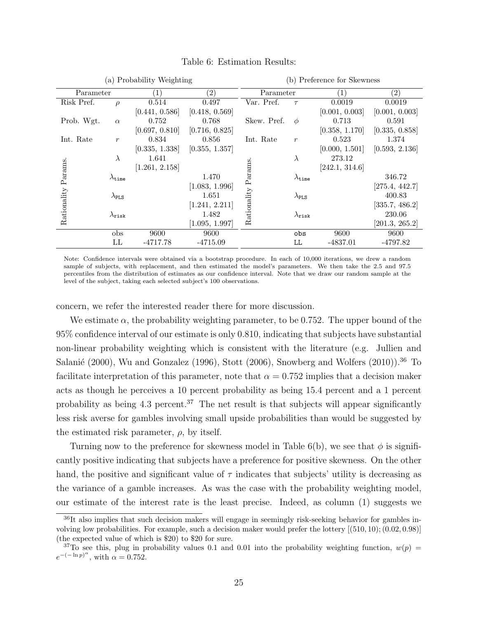<span id="page-24-0"></span>

|             |                          | (a) Probability Weighting |                   | (b) Preference for Skewness |                        |                |                |  |
|-------------|--------------------------|---------------------------|-------------------|-----------------------------|------------------------|----------------|----------------|--|
| Parameter   |                          |                           | $\left( 2\right)$ | Parameter                   |                        |                | (2)            |  |
| Risk Pref.  | $\rho$                   | 0.514                     | 0.497             | Var. Pref.                  | $\tau$                 | 0.0019         | 0.0019         |  |
|             |                          | [0.441, 0.586]            | [0.418, 0.569]    |                             |                        | [0.001, 0.003] | [0.001, 0.003] |  |
| Prob. Wgt.  | $\alpha$                 | 0.752                     | 0.768             | Skew. Pref.                 | $\phi$                 | 0.713          | 0.591          |  |
|             |                          | [0.697, 0.810]            | [0.716, 0.825]    |                             |                        | [0.358, 1.170] | [0.335, 0.858] |  |
| Int. Rate   | $\boldsymbol{r}$         | 0.834                     | 0.856             | Int. Rate                   | $\boldsymbol{r}$       | 0.523          | 1.374          |  |
|             |                          | [0.335, 1.338]            | [0.355, 1.357]    |                             |                        | [0.000, 1.501] | [0.593, 2.136] |  |
|             | $\lambda$                | 1.641                     |                   |                             | $\lambda$              | 273.12         |                |  |
|             |                          | [1.261, 2.158]            |                   |                             |                        | [242.1, 314.6] |                |  |
| Params.     | $\lambda_{\tt time}$     |                           | 1.470             | Params.                     | $\lambda_{\tt time}$   |                | 346.72         |  |
|             |                          |                           | [1.083, 1.996]    |                             |                        |                | [275.4, 442.7] |  |
|             | $\lambda_{\mathrm{PLS}}$ |                           | 1.651             |                             | $\lambda_{\text{PLS}}$ |                | 400.83         |  |
| Rationality |                          |                           | [1.241, 2.211]    | Rationality                 |                        |                | [335.7, 486.2] |  |
|             | $\lambda_{\tt risk}$     |                           | 1.482             |                             | $\lambda_{\tt risk}$   |                | 230.06         |  |
|             |                          |                           | [1.095, 1.997]    |                             |                        |                | [201.3, 265.2] |  |
|             | obs                      | 9600                      | 9600              |                             | obs                    | 9600           | 9600           |  |
|             | LL                       | -4717.78                  | $-4715.09$        |                             | LL                     | $-4837.01$     | -4797.82       |  |

#### Table 6: Estimation Results:

Note: Confidence intervals were obtained via a bootstrap procedure. In each of 10,000 iterations, we drew a random sample of subjects, with replacement, and then estimated the model's parameters. We then take the 2.5 and 97.5 percentiles from the distribution of estimates as our confidence interval. Note that we draw our random sample at the level of the subject, taking each selected subject's 100 observations.

concern, we refer the interested reader there for more discussion.

We estimate  $\alpha$ , the probability weighting parameter, to be 0.752. The upper bound of the 95% confidence interval of our estimate is only 0.810, indicating that subjects have substantial non-linear probability weighting which is consistent with the literature (e.g. [Jullien and](#page-41-14) Salanié [\(2000\)](#page-41-14), [Wu and Gonzalez](#page-42-8) [\(1996\)](#page-42-8), [Stott](#page-42-6) [\(2006\)](#page-42-6), [Snowberg and Wolfers](#page-41-4) [\(2010\)](#page-41-4)).<sup>[36](#page-24-1)</sup> To facilitate interpretation of this parameter, note that  $\alpha = 0.752$  implies that a decision maker acts as though he perceives a 10 percent probability as being 15.4 percent and a 1 percent probability as being  $4.3$  percent.<sup>[37](#page-24-2)</sup> The net result is that subjects will appear significantly less risk averse for gambles involving small upside probabilities than would be suggested by the estimated risk parameter,  $\rho$ , by itself.

Turning now to the preference for skewness model in Table [6\(](#page-24-0)b), we see that  $\phi$  is significantly positive indicating that subjects have a preference for positive skewness. On the other hand, the positive and significant value of  $\tau$  indicates that subjects' utility is decreasing as the variance of a gamble increases. As was the case with the probability weighting model, our estimate of the interest rate is the least precise. Indeed, as column (1) suggests we

<span id="page-24-1"></span><sup>36</sup>It also implies that such decision makers will engage in seemingly risk-seeking behavior for gambles involving low probabilities. For example, such a decision maker would prefer the lottery [(510, 10); (0.02, 0.98)] (the expected value of which is \$20) to \$20 for sure.

<span id="page-24-2"></span><sup>&</sup>lt;sup>37</sup>To see this, plug in probability values 0.1 and 0.01 into the probability weighting function,  $w(p)$  =  $e^{-(-\ln p)^{\alpha}}$ , with  $\alpha = 0.752$ .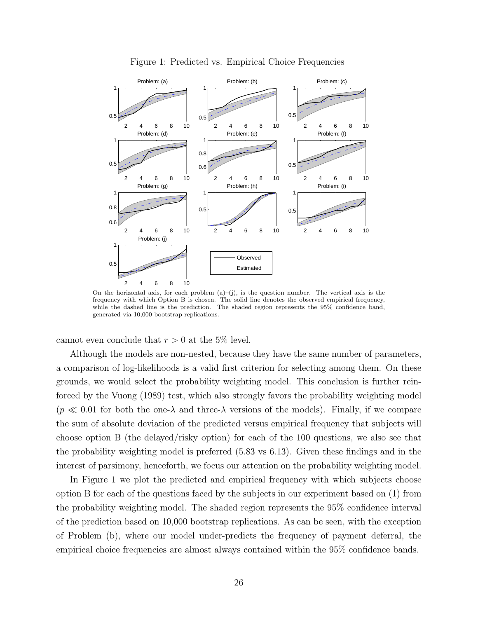<span id="page-25-0"></span>

Figure 1: Predicted vs. Empirical Choice Frequencies

On the horizontal axis, for each problem  $(a)$ –(j), is the question number. The vertical axis is the frequency with which Option B is chosen. The solid line denotes the observed empirical frequency, while the dashed line is the prediction. The shaded region represents the 95% confidence band, generated via 10,000 bootstrap replications.

cannot even conclude that  $r > 0$  at the 5% level.

Although the models are non-nested, because they have the same number of parameters, a comparison of log-likelihoods is a valid first criterion for selecting among them. On these grounds, we would select the probability weighting model. This conclusion is further reinforced by the [Vuong](#page-42-9) [\(1989\)](#page-42-9) test, which also strongly favors the probability weighting model  $(p \ll 0.01$  for both the one- $\lambda$  and three- $\lambda$  versions of the models). Finally, if we compare the sum of absolute deviation of the predicted versus empirical frequency that subjects will choose option B (the delayed/risky option) for each of the 100 questions, we also see that the probability weighting model is preferred (5.83 vs 6.13). Given these findings and in the interest of parsimony, henceforth, we focus our attention on the probability weighting model.

In Figure [1](#page-25-0) we plot the predicted and empirical frequency with which subjects choose option B for each of the questions faced by the subjects in our experiment based on (1) from the probability weighting model. The shaded region represents the 95% confidence interval of the prediction based on 10,000 bootstrap replications. As can be seen, with the exception of Problem (b), where our model under-predicts the frequency of payment deferral, the empirical choice frequencies are almost always contained within the 95% confidence bands.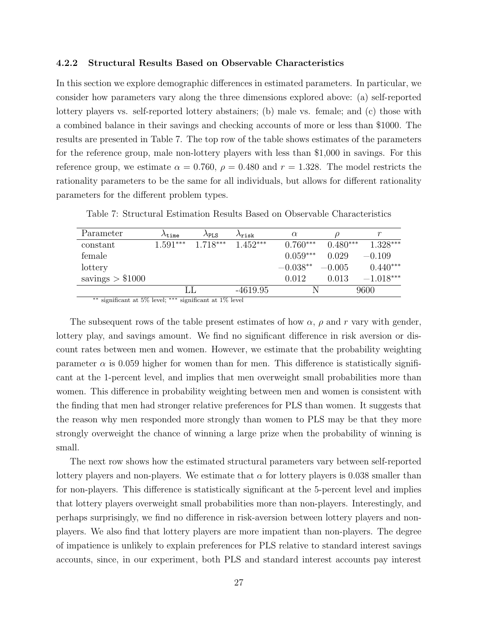#### 4.2.2 Structural Results Based on Observable Characteristics

In this section we explore demographic differences in estimated parameters. In particular, we consider how parameters vary along the three dimensions explored above: (a) self-reported lottery players vs. self-reported lottery abstainers; (b) male vs. female; and (c) those with a combined balance in their savings and checking accounts of more or less than \$1000. The results are presented in Table [7.](#page-26-0) The top row of the table shows estimates of the parameters for the reference group, male non-lottery players with less than \$1,000 in savings. For this reference group, we estimate  $\alpha = 0.760$ ,  $\rho = 0.480$  and  $r = 1.328$ . The model restricts the rationality parameters to be the same for all individuals, but allows for different rationality parameters for the different problem types.

| Parameter         | $\wedge_{\texttt{time}}$ | $\lambda_{\text{PLS}}$ | $\Lambda_{\rm risk}$ | $\alpha$   |            | r           |
|-------------------|--------------------------|------------------------|----------------------|------------|------------|-------------|
| constant          |                          | $1.591***$ $1.718***$  | $1.452***$           | $0.760***$ | $0.480***$ | $1.328***$  |
| female            |                          |                        |                      | $0.059***$ | 0.029      | $-0.109$    |
| lottery           |                          |                        |                      | $-0.038**$ | $-0.005$   | $0.440***$  |
| savings $> $1000$ |                          |                        |                      | 0.012      | 0.013      | $-1.018***$ |
|                   |                          | UL                     | -4619.95             |            |            | 9600        |

<span id="page-26-0"></span>Table 7: Structural Estimation Results Based on Observable Characteristics

significant at 5% level; \*\*\* significant at 1% level

The subsequent rows of the table present estimates of how  $\alpha$ ,  $\rho$  and r vary with gender, lottery play, and savings amount. We find no significant difference in risk aversion or discount rates between men and women. However, we estimate that the probability weighting parameter  $\alpha$  is 0.059 higher for women than for men. This difference is statistically significant at the 1-percent level, and implies that men overweight small probabilities more than women. This difference in probability weighting between men and women is consistent with the finding that men had stronger relative preferences for PLS than women. It suggests that the reason why men responded more strongly than women to PLS may be that they more strongly overweight the chance of winning a large prize when the probability of winning is small.

The next row shows how the estimated structural parameters vary between self-reported lottery players and non-players. We estimate that  $\alpha$  for lottery players is 0.038 smaller than for non-players. This difference is statistically significant at the 5-percent level and implies that lottery players overweight small probabilities more than non-players. Interestingly, and perhaps surprisingly, we find no difference in risk-aversion between lottery players and nonplayers. We also find that lottery players are more impatient than non-players. The degree of impatience is unlikely to explain preferences for PLS relative to standard interest savings accounts, since, in our experiment, both PLS and standard interest accounts pay interest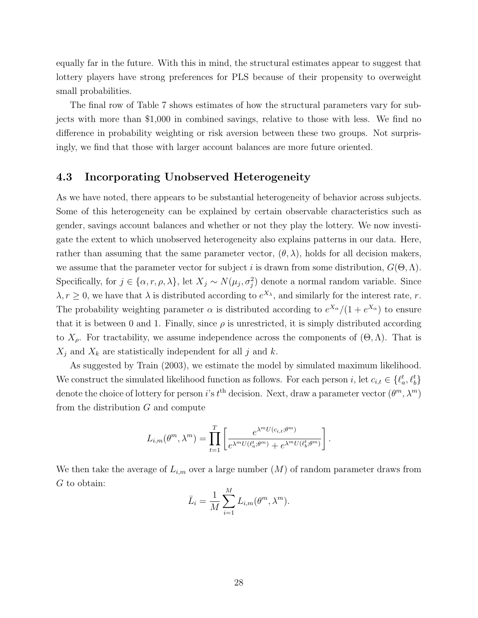equally far in the future. With this in mind, the structural estimates appear to suggest that lottery players have strong preferences for PLS because of their propensity to overweight small probabilities.

The final row of Table [7](#page-26-0) shows estimates of how the structural parameters vary for subjects with more than \$1,000 in combined savings, relative to those with less. We find no difference in probability weighting or risk aversion between these two groups. Not surprisingly, we find that those with larger account balances are more future oriented.

### 4.3 Incorporating Unobserved Heterogeneity

As we have noted, there appears to be substantial heterogeneity of behavior across subjects. Some of this heterogeneity can be explained by certain observable characteristics such as gender, savings account balances and whether or not they play the lottery. We now investigate the extent to which unobserved heterogeneity also explains patterns in our data. Here, rather than assuming that the same parameter vector,  $(\theta, \lambda)$ , holds for all decision makers, we assume that the parameter vector for subject i is drawn from some distribution,  $G(\Theta, \Lambda)$ . Specifically, for  $j \in \{\alpha, r, \rho, \lambda\}$ , let  $X_j \sim N(\mu_j, \sigma_j^2)$  denote a normal random variable. Since  $\lambda, r \geq 0$ , we have that  $\lambda$  is distributed according to  $e^{X_{\lambda}}$ , and similarly for the interest rate, r. The probability weighting parameter  $\alpha$  is distributed according to  $e^{X_{\alpha}}/(1+e^{X_{\alpha}})$  to ensure that it is between 0 and 1. Finally, since  $\rho$  is unrestricted, it is simply distributed according to  $X_{\rho}$ . For tractability, we assume independence across the components of  $(\Theta, \Lambda)$ . That is  $X_j$  and  $X_k$  are statistically independent for all j and k.

As suggested by [Train](#page-42-10) [\(2003\)](#page-42-10), we estimate the model by simulated maximum likelihood. We construct the simulated likelihood function as follows. For each person *i*, let  $c_{i,t} \in \{\ell_a^t, \ell_b^t\}$ denote the choice of lottery for person i's  $t^{\text{th}}$  decision. Next, draw a parameter vector  $(\theta^m, \lambda^m)$ from the distribution  $G$  and compute

$$
L_{i,m}(\theta^m, \lambda^m) = \prod_{t=1}^T \left[ \frac{e^{\lambda^m U(c_{i,t};\theta^m)}}{e^{\lambda^m U(\ell_a^t; \theta^m)} + e^{\lambda^m U(\ell_b^t; \theta^m)}} \right].
$$

We then take the average of  $L_{i,m}$  over a large number  $(M)$  of random parameter draws from G to obtain:

$$
\bar{L}_i = \frac{1}{M} \sum_{i=1}^{M} L_{i,m}(\theta^m, \lambda^m).
$$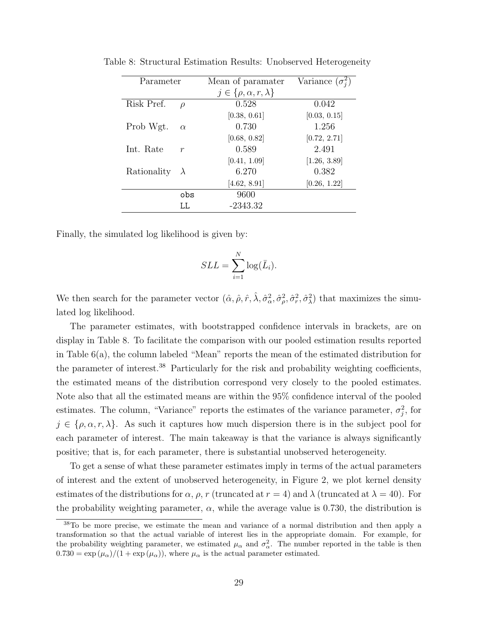| Parameter   |                  | Mean of paramater                  | Variance $(\sigma_i^2)$ |
|-------------|------------------|------------------------------------|-------------------------|
|             |                  | $j \in {\rho, \alpha, r, \lambda}$ |                         |
| Risk Pref.  | $\mathcal{D}$    | 0.528                              | 0.042                   |
|             |                  | [0.38, 0.61]                       | [0.03, 0.15]            |
| Prob Wgt.   | $\alpha$         | 0.730                              | 1.256                   |
|             |                  | [0.68, 0.82]                       | [0.72, 2.71]            |
| Int. Rate   | $\boldsymbol{r}$ | 0.589                              | 2.491                   |
|             |                  | [0.41, 1.09]                       | [1.26, 3.89]            |
| Rationality | $\lambda$        | 6.270                              | 0.382                   |
|             |                  | [4.62, 8.91]                       | [0.26, 1.22]            |
|             | obs              | 9600                               |                         |
|             | LL.              | $-2343.32$                         |                         |

<span id="page-28-0"></span>Table 8: Structural Estimation Results: Unobserved Heterogeneity

Finally, the simulated log likelihood is given by:

$$
SLL = \sum_{i=1}^{N} \log(\bar{L}_i).
$$

We then search for the parameter vector  $(\hat{\alpha}, \hat{\rho}, \hat{r}, \hat{\lambda}, \hat{\sigma}_{\alpha}^2, \hat{\sigma}_{\rho}^2, \hat{\sigma}_{\tau}^2, \hat{\sigma}_{\lambda}^2)$  that maximizes the simulated log likelihood.

The parameter estimates, with bootstrapped confidence intervals in brackets, are on display in Table [8.](#page-28-0) To facilitate the comparison with our pooled estimation results reported in Table [6\(](#page-24-0)a), the column labeled "Mean" reports the mean of the estimated distribution for the parameter of interest.[38](#page-28-1) Particularly for the risk and probability weighting coefficients, the estimated means of the distribution correspond very closely to the pooled estimates. Note also that all the estimated means are within the 95% confidence interval of the pooled estimates. The column, "Variance" reports the estimates of the variance parameter,  $\sigma_j^2$ , for  $j \in {\rho, \alpha, r, \lambda}$ . As such it captures how much dispersion there is in the subject pool for each parameter of interest. The main takeaway is that the variance is always significantly positive; that is, for each parameter, there is substantial unobserved heterogeneity.

To get a sense of what these parameter estimates imply in terms of the actual parameters of interest and the extent of unobserved heterogeneity, in Figure [2,](#page-29-0) we plot kernel density estimates of the distributions for  $\alpha$ ,  $\rho$ , r (truncated at  $r = 4$ ) and  $\lambda$  (truncated at  $\lambda = 40$ ). For the probability weighting parameter,  $\alpha$ , while the average value is 0.730, the distribution is

<span id="page-28-1"></span><sup>&</sup>lt;sup>38</sup>To be more precise, we estimate the mean and variance of a normal distribution and then apply a transformation so that the actual variable of interest lies in the appropriate domain. For example, for the probability weighting parameter, we estimated  $\mu_{\alpha}$  and  $\sigma_{\alpha}^2$ . The number reported in the table is then  $0.730 = \exp(\mu_\alpha)/(1 + \exp(\mu_\alpha))$ , where  $\mu_\alpha$  is the actual parameter estimated.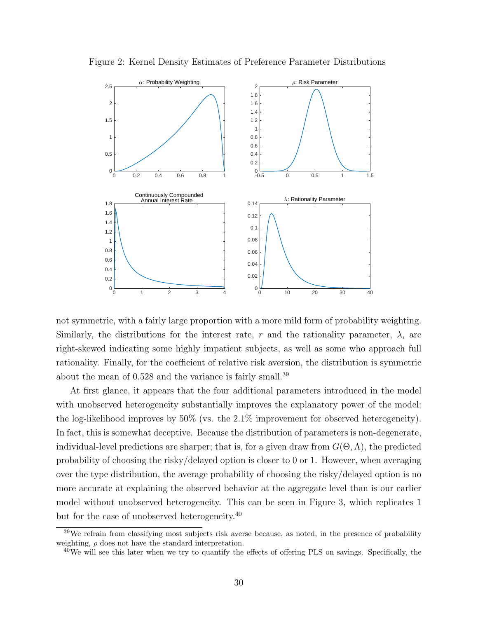

<span id="page-29-0"></span>Figure 2: Kernel Density Estimates of Preference Parameter Distributions

not symmetric, with a fairly large proportion with a more mild form of probability weighting. Similarly, the distributions for the interest rate, r and the rationality parameter,  $\lambda$ , are right-skewed indicating some highly impatient subjects, as well as some who approach full rationality. Finally, for the coefficient of relative risk aversion, the distribution is symmetric about the mean of 0.528 and the variance is fairly small.[39](#page-29-1)

At first glance, it appears that the four additional parameters introduced in the model with unobserved heterogeneity substantially improves the explanatory power of the model: the log-likelihood improves by 50% (vs. the 2.1% improvement for observed heterogeneity). In fact, this is somewhat deceptive. Because the distribution of parameters is non-degenerate, individual-level predictions are sharper; that is, for a given draw from  $G(\Theta,\Lambda)$ , the predicted probability of choosing the risky/delayed option is closer to 0 or 1. However, when averaging over the type distribution, the average probability of choosing the risky/delayed option is no more accurate at explaining the observed behavior at the aggregate level than is our earlier model without unobserved heterogeneity. This can be seen in Figure [3,](#page-30-1) which replicates [1](#page-25-0) but for the case of unobserved heterogeneity.[40](#page-29-2)

<span id="page-29-1"></span><sup>&</sup>lt;sup>39</sup>We refrain from classifying most subjects risk averse because, as noted, in the presence of probability weighting,  $\rho$  does not have the standard interpretation.

<span id="page-29-2"></span><sup>&</sup>lt;sup>40</sup>We will see this later when we try to quantify the effects of offering PLS on savings. Specifically, the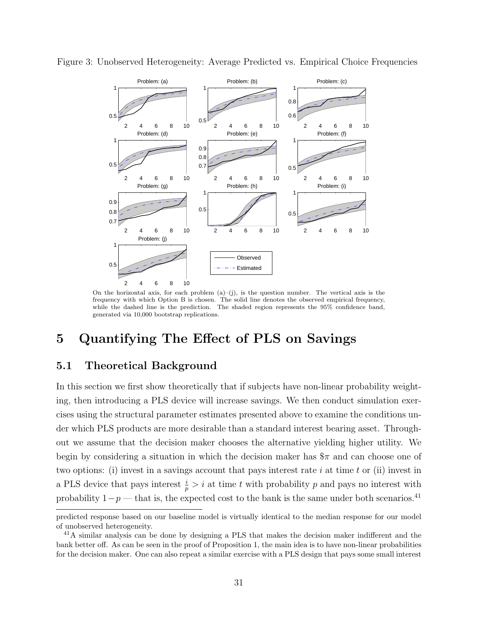

<span id="page-30-1"></span>Figure 3: Unobserved Heterogeneity: Average Predicted vs. Empirical Choice Frequencies

On the horizontal axis, for each problem  $(a)$ –(j), is the question number. The vertical axis is the frequency with which Option B is chosen. The solid line denotes the observed empirical frequency, while the dashed line is the prediction. The shaded region represents the 95% confidence band, generated via 10,000 bootstrap replications.

## <span id="page-30-0"></span>5 Quantifying The Effect of PLS on Savings

### 5.1 Theoretical Background

In this section we first show theoretically that if subjects have non-linear probability weighting, then introducing a PLS device will increase savings. We then conduct simulation exercises using the structural parameter estimates presented above to examine the conditions under which PLS products are more desirable than a standard interest bearing asset. Throughout we assume that the decision maker chooses the alternative yielding higher utility. We begin by considering a situation in which the decision maker has  $\pi$  and can choose one of two options: (i) invest in a savings account that pays interest rate  $i$  at time  $t$  or (ii) invest in a PLS device that pays interest  $\frac{i}{p} > i$  at time t with probability p and pays no interest with probability  $1-p$  — that is, the expected cost to the bank is the same under both scenarios.<sup>[41](#page-30-2)</sup>

predicted response based on our baseline model is virtually identical to the median response for our model of unobserved heterogeneity.

<span id="page-30-2"></span> $^{41}$ A similar analysis can be done by designing a PLS that makes the decision maker indifferent and the bank better off. As can be seen in the proof of Proposition [1,](#page-31-0) the main idea is to have non-linear probabilities for the decision maker. One can also repeat a similar exercise with a PLS design that pays some small interest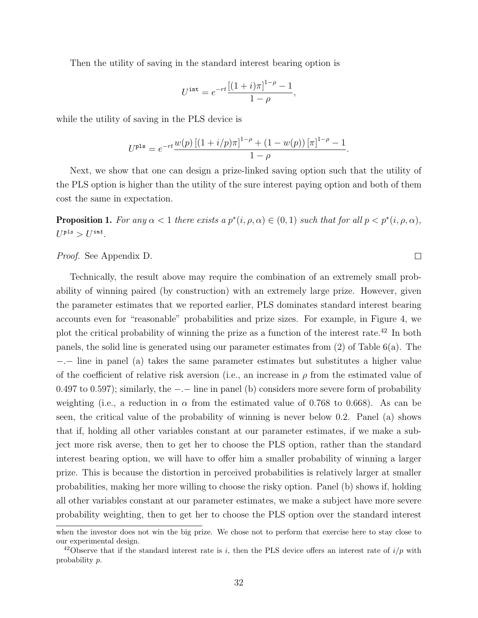Then the utility of saving in the standard interest bearing option is

$$
U^{\texttt{int}} = e^{-rt} \frac{[(1+i)\pi]^{1-\rho} - 1}{1-\rho},
$$

while the utility of saving in the PLS device is

$$
U^{\text{pls}} = e^{-rt}\frac{w(p)\left[\left(1+i/p\right)\pi\right]^{1-\rho}+\left(1-w(p)\right)\left[\pi\right]^{1-\rho}-1}{1-\rho}.
$$

Next, we show that one can design a prize-linked saving option such that the utility of the PLS option is higher than the utility of the sure interest paying option and both of them cost the same in expectation.

<span id="page-31-0"></span>**Proposition 1.** For any  $\alpha < 1$  there exists a  $p^*(i, \rho, \alpha) \in (0, 1)$  such that for all  $p < p^*(i, \rho, \alpha)$ ,  $U^{pls} > U^{int}.$ 

 $\Box$ 

#### Proof. See Appendix [D.](#page-52-0)

Technically, the result above may require the combination of an extremely small probability of winning paired (by construction) with an extremely large prize. However, given the parameter estimates that we reported earlier, PLS dominates standard interest bearing accounts even for "reasonable" probabilities and prize sizes. For example, in Figure [4,](#page-32-0) we plot the critical probability of winning the prize as a function of the interest rate.<sup>[42](#page-31-1)</sup> In both panels, the solid line is generated using our parameter estimates from (2) of Table [6\(](#page-24-0)a). The −.− line in panel (a) takes the same parameter estimates but substitutes a higher value of the coefficient of relative risk aversion (i.e., an increase in  $\rho$  from the estimated value of 0.497 to 0.597); similarly, the −.− line in panel (b) considers more severe form of probability weighting (i.e., a reduction in  $\alpha$  from the estimated value of 0.768 to 0.668). As can be seen, the critical value of the probability of winning is never below 0.2. Panel (a) shows that if, holding all other variables constant at our parameter estimates, if we make a subject more risk averse, then to get her to choose the PLS option, rather than the standard interest bearing option, we will have to offer him a smaller probability of winning a larger prize. This is because the distortion in perceived probabilities is relatively larger at smaller probabilities, making her more willing to choose the risky option. Panel (b) shows if, holding all other variables constant at our parameter estimates, we make a subject have more severe probability weighting, then to get her to choose the PLS option over the standard interest

when the investor does not win the big prize. We chose not to perform that exercise here to stay close to our experimental design.

<span id="page-31-1"></span><sup>&</sup>lt;sup>42</sup>Observe that if the standard interest rate is i, then the PLS device offers an interest rate of  $i/p$  with probability p.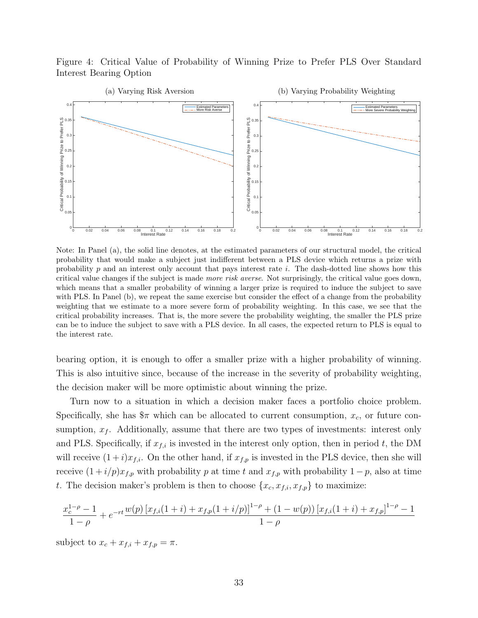<span id="page-32-0"></span>Figure 4: Critical Value of Probability of Winning Prize to Prefer PLS Over Standard Interest Bearing Option



Note: In Panel (a), the solid line denotes, at the estimated parameters of our structural model, the critical probability that would make a subject just indifferent between a PLS device which returns a prize with probability  $p$  and an interest only account that pays interest rate i. The dash-dotted line shows how this critical value changes if the subject is made more risk averse. Not surprisingly, the critical value goes down, which means that a smaller probability of winning a larger prize is required to induce the subject to save with PLS. In Panel (b), we repeat the same exercise but consider the effect of a change from the probability weighting that we estimate to a more severe form of probability weighting. In this case, we see that the critical probability increases. That is, the more severe the probability weighting, the smaller the PLS prize can be to induce the subject to save with a PLS device. In all cases, the expected return to PLS is equal to the interest rate.

bearing option, it is enough to offer a smaller prize with a higher probability of winning. This is also intuitive since, because of the increase in the severity of probability weighting, the decision maker will be more optimistic about winning the prize.

Turn now to a situation in which a decision maker faces a portfolio choice problem. Specifically, she has  $\pi$  which can be allocated to current consumption,  $x_c$ , or future consumption,  $x_f$ . Additionally, assume that there are two types of investments: interest only and PLS. Specifically, if  $x_{f,i}$  is invested in the interest only option, then in period t, the DM will receive  $(1+i)x_{f,i}$ . On the other hand, if  $x_{f,p}$  is invested in the PLS device, then she will receive  $(1+i/p)x_{f,p}$  with probability p at time t and  $x_{f,p}$  with probability  $1-p$ , also at time t. The decision maker's problem is then to choose  $\{x_c, x_{f,i}, x_{f,p}\}\)$  to maximize:

$$
\frac{x_c^{1-\rho}-1}{1-\rho} + e^{-rt} \frac{w(p) \left[x_{f,i}(1+i) + x_{f,p}(1+i/p)\right]^{1-\rho} + (1-w(p)) \left[x_{f,i}(1+i) + x_{f,p}\right]^{1-\rho} - 1}{1-\rho}
$$

subject to  $x_c + x_{f,i} + x_{f,p} = \pi$ .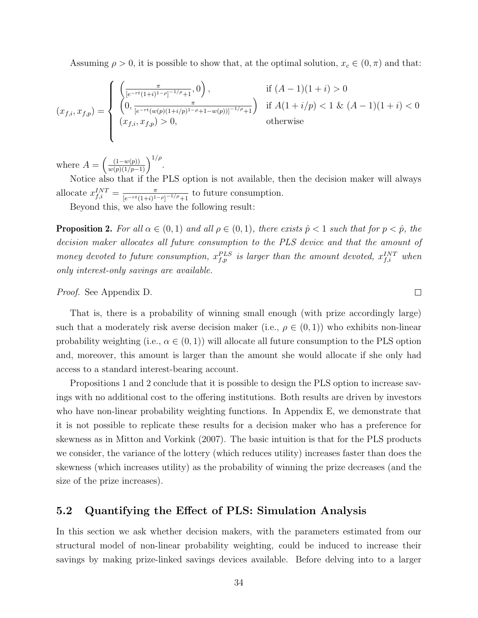Assuming  $\rho > 0$ , it is possible to show that, at the optimal solution,  $x_c \in (0, \pi)$  and that:

$$
(x_{f,i}, x_{f,p}) = \begin{cases} \left( \frac{\pi}{[e^{-rt}(1+i)^{1-\rho}]^{-1/\rho}+1}, 0 \right), & \text{if } (A-1)(1+i) > 0\\ \left( 0, \frac{\pi}{[e^{-rt}(w(p)(1+i/p)^{1-\rho}+1-w(p))]^{-1/\rho}+1} \right) & \text{if } A(1+i/p) < 1 \& (A-1)(1+i) < 0\\ (x_{f,i}, x_{f,p}) > 0, & \text{otherwise} \end{cases}
$$

where  $A = \left(\frac{(1-w(p))}{w(p)(1/p-1)}\right)^{1/\rho}$ .

Notice also that if the PLS option is not available, then the decision maker will always allocate  $x_{f,i}^{INT} = \frac{\pi}{[e^{-rt}(1+i)^{1+i}]}$  $\frac{\pi}{\left[e^{-rt}(1+i)^{1-\rho}\right]^{-1/\rho}+1}$  to future consumption. Beyond this, we also have the following result:

<span id="page-33-0"></span>**Proposition 2.** For all  $\alpha \in (0,1)$  and all  $\rho \in (0,1)$ , there exists  $\hat{p} < 1$  such that for  $p < \hat{p}$ , the decision maker allocates all future consumption to the PLS device and that the amount of money devoted to future consumption,  $x_{f,p}^{PLS}$  is larger than the amount devoted,  $x_{f,i}^{INT}$  when only interest-only savings are available.

Proof. See Appendix [D.](#page-52-0)

That is, there is a probability of winning small enough (with prize accordingly large) such that a moderately risk averse decision maker (i.e.,  $\rho \in (0,1)$ ) who exhibits non-linear probability weighting (i.e.,  $\alpha \in (0,1)$ ) will allocate all future consumption to the PLS option and, moreover, this amount is larger than the amount she would allocate if she only had access to a standard interest-bearing account.

Propositions [1](#page-31-0) and [2](#page-33-0) conclude that it is possible to design the PLS option to increase savings with no additional cost to the offering institutions. Both results are driven by investors who have non-linear probability weighting functions. In Appendix [E,](#page-54-0) we demonstrate that it is not possible to replicate these results for a decision maker who has a preference for skewness as in [Mitton and Vorkink](#page-41-2) [\(2007\)](#page-41-2). The basic intuition is that for the PLS products we consider, the variance of the lottery (which reduces utility) increases faster than does the skewness (which increases utility) as the probability of winning the prize decreases (and the size of the prize increases).

### 5.2 Quantifying the Effect of PLS: Simulation Analysis

In this section we ask whether decision makers, with the parameters estimated from our structural model of non-linear probability weighting, could be induced to increase their savings by making prize-linked savings devices available. Before delving into to a larger

 $\Box$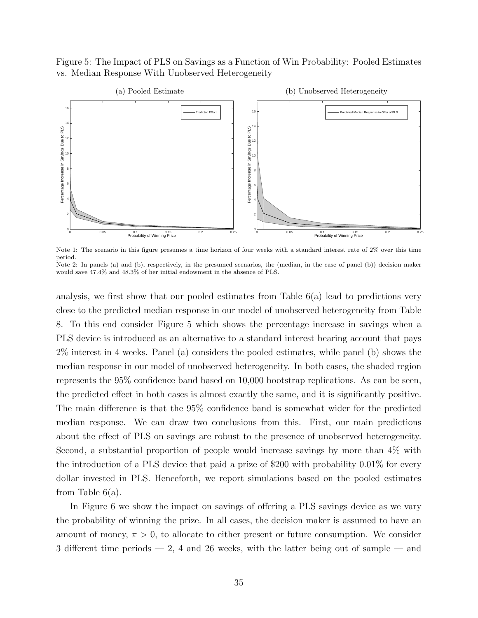<span id="page-34-0"></span>Figure 5: The Impact of PLS on Savings as a Function of Win Probability: Pooled Estimates vs. Median Response With Unobserved Heterogeneity



Note 1: The scenario in this figure presumes a time horizon of four weeks with a standard interest rate of 2% over this time period.

Note 2: In panels (a) and (b), respectively, in the presumed scenarios, the (median, in the case of panel (b)) decision maker would save 47.4% and 48.3% of her initial endowment in the absence of PLS.

analysis, we first show that our pooled estimates from Table  $6(a)$  $6(a)$  lead to predictions very close to the predicted median response in our model of unobserved heterogeneity from Table [8.](#page-28-0) To this end consider Figure [5](#page-34-0) which shows the percentage increase in savings when a PLS device is introduced as an alternative to a standard interest bearing account that pays 2% interest in 4 weeks. Panel (a) considers the pooled estimates, while panel (b) shows the median response in our model of unobserved heterogeneity. In both cases, the shaded region represents the 95% confidence band based on 10,000 bootstrap replications. As can be seen, the predicted effect in both cases is almost exactly the same, and it is significantly positive. The main difference is that the 95% confidence band is somewhat wider for the predicted median response. We can draw two conclusions from this. First, our main predictions about the effect of PLS on savings are robust to the presence of unobserved heterogeneity. Second, a substantial proportion of people would increase savings by more than 4% with the introduction of a PLS device that paid a prize of \$200 with probability 0.01% for every dollar invested in PLS. Henceforth, we report simulations based on the pooled estimates from Table  $6(a)$  $6(a)$ .

In Figure [6](#page-36-0) we show the impact on savings of offering a PLS savings device as we vary the probability of winning the prize. In all cases, the decision maker is assumed to have an amount of money,  $\pi > 0$ , to allocate to either present or future consumption. We consider 3 different time periods  $-2$ , 4 and 26 weeks, with the latter being out of sample  $-$  and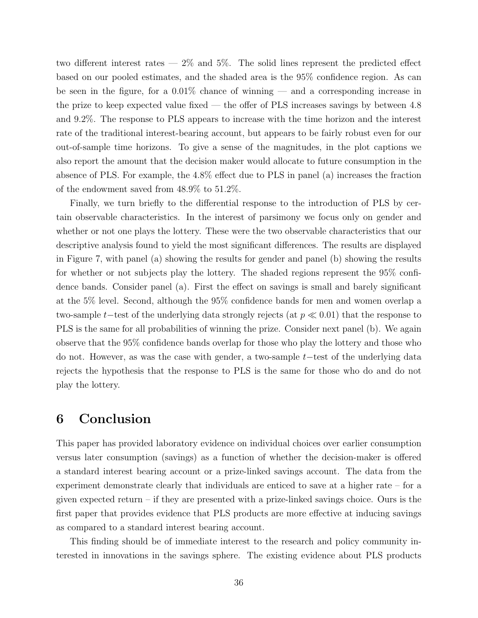two different interest rates  $-2\%$  and 5%. The solid lines represent the predicted effect based on our pooled estimates, and the shaded area is the 95% confidence region. As can be seen in the figure, for a  $0.01\%$  chance of winning — and a corresponding increase in the prize to keep expected value fixed — the offer of PLS increases savings by between 4.8 and 9.2%. The response to PLS appears to increase with the time horizon and the interest rate of the traditional interest-bearing account, but appears to be fairly robust even for our out-of-sample time horizons. To give a sense of the magnitudes, in the plot captions we also report the amount that the decision maker would allocate to future consumption in the absence of PLS. For example, the 4.8% effect due to PLS in panel (a) increases the fraction of the endowment saved from 48.9% to 51.2%.

Finally, we turn briefly to the differential response to the introduction of PLS by certain observable characteristics. In the interest of parsimony we focus only on gender and whether or not one plays the lottery. These were the two observable characteristics that our descriptive analysis found to yield the most significant differences. The results are displayed in Figure [7,](#page-37-0) with panel (a) showing the results for gender and panel (b) showing the results for whether or not subjects play the lottery. The shaded regions represent the 95% confidence bands. Consider panel (a). First the effect on savings is small and barely significant at the 5% level. Second, although the 95% confidence bands for men and women overlap a two-sample t–test of the underlying data strongly rejects (at  $p \ll 0.01$ ) that the response to PLS is the same for all probabilities of winning the prize. Consider next panel (b). We again observe that the 95% confidence bands overlap for those who play the lottery and those who do not. However, as was the case with gender, a two-sample t−test of the underlying data rejects the hypothesis that the response to PLS is the same for those who do and do not play the lottery.

## <span id="page-35-0"></span>6 Conclusion

This paper has provided laboratory evidence on individual choices over earlier consumption versus later consumption (savings) as a function of whether the decision-maker is offered a standard interest bearing account or a prize-linked savings account. The data from the experiment demonstrate clearly that individuals are enticed to save at a higher rate – for a given expected return – if they are presented with a prize-linked savings choice. Ours is the first paper that provides evidence that PLS products are more effective at inducing savings as compared to a standard interest bearing account.

This finding should be of immediate interest to the research and policy community interested in innovations in the savings sphere. The existing evidence about PLS products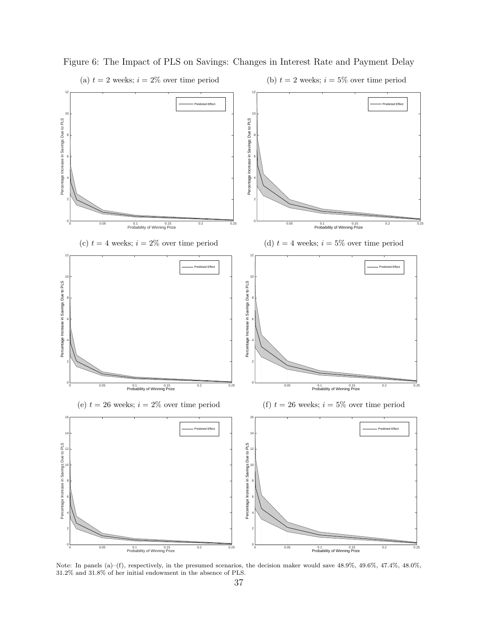

<span id="page-36-0"></span>Figure 6: The Impact of PLS on Savings: Changes in Interest Rate and Payment Delay

Note: In panels (a)–(f), respectively, in the presumed scenarios, the decision maker would save 48.9%, 49.6%, 47.4%, 48.0%, 31.2% and 31.8% of her initial endowment in the absence of PLS.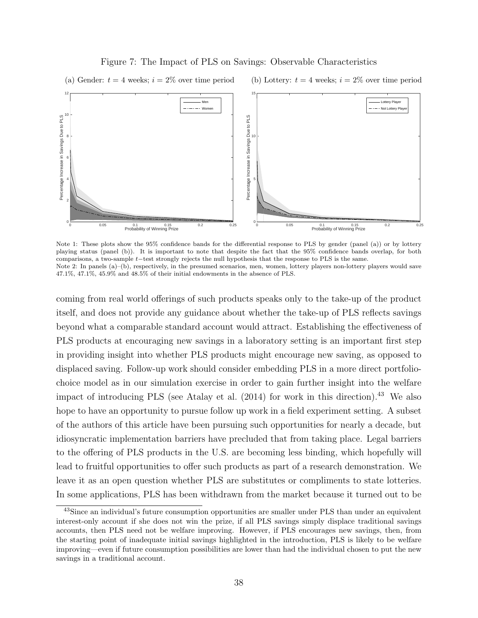<span id="page-37-0"></span>

#### Figure 7: The Impact of PLS on Savings: Observable Characteristics

Note 1: These plots show the 95% confidence bands for the differential response to PLS by gender (panel (a)) or by lottery playing status (panel (b)). It is important to note that despite the fact that the 95% confidence bands overlap, for both comparisons, a two-sample t−test strongly rejects the null hypothesis that the response to PLS is the same. Note 2: In panels (a)–(b), respectively, in the presumed scenarios, men, women, lottery players non-lottery players would save 47.1%, 47.1%, 45.9% and 48.5% of their initial endowments in the absence of PLS.

coming from real world offerings of such products speaks only to the take-up of the product itself, and does not provide any guidance about whether the take-up of PLS reflects savings beyond what a comparable standard account would attract. Establishing the effectiveness of PLS products at encouraging new savings in a laboratory setting is an important first step in providing insight into whether PLS products might encourage new saving, as opposed to displaced saving. Follow-up work should consider embedding PLS in a more direct portfoliochoice model as in our simulation exercise in order to gain further insight into the welfare impact of introducing PLS (see [Atalay et al.](#page-39-4)  $(2014)$  for work in this direction).<sup>[43](#page-37-1)</sup> We also hope to have an opportunity to pursue follow up work in a field experiment setting. A subset of the authors of this article have been pursuing such opportunities for nearly a decade, but idiosyncratic implementation barriers have precluded that from taking place. Legal barriers to the offering of PLS products in the U.S. are becoming less binding, which hopefully will lead to fruitful opportunities to offer such products as part of a research demonstration. We leave it as an open question whether PLS are substitutes or compliments to state lotteries. In some applications, PLS has been withdrawn from the market because it turned out to be

<span id="page-37-1"></span><sup>43</sup>Since an individual's future consumption opportunities are smaller under PLS than under an equivalent interest-only account if she does not win the prize, if all PLS savings simply displace traditional savings accounts, then PLS need not be welfare improving. However, if PLS encourages new savings, then, from the starting point of inadequate initial savings highlighted in the introduction, PLS is likely to be welfare improving—even if future consumption possibilities are lower than had the individual chosen to put the new savings in a traditional account.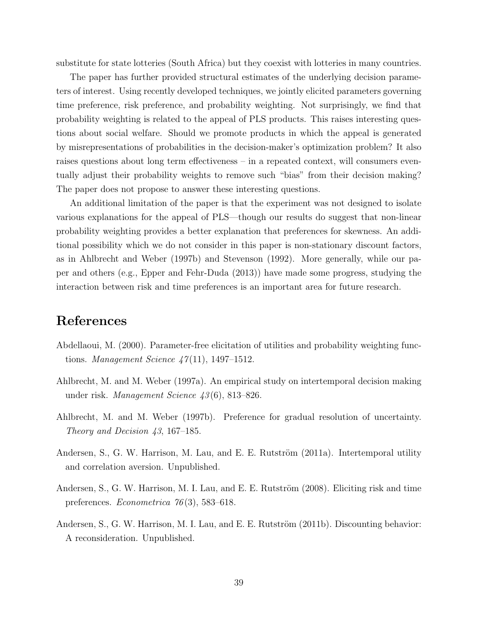substitute for state lotteries (South Africa) but they coexist with lotteries in many countries.

The paper has further provided structural estimates of the underlying decision parameters of interest. Using recently developed techniques, we jointly elicited parameters governing time preference, risk preference, and probability weighting. Not surprisingly, we find that probability weighting is related to the appeal of PLS products. This raises interesting questions about social welfare. Should we promote products in which the appeal is generated by misrepresentations of probabilities in the decision-maker's optimization problem? It also raises questions about long term effectiveness – in a repeated context, will consumers eventually adjust their probability weights to remove such "bias" from their decision making? The paper does not propose to answer these interesting questions.

An additional limitation of the paper is that the experiment was not designed to isolate various explanations for the appeal of PLS—though our results do suggest that non-linear probability weighting provides a better explanation that preferences for skewness. An additional possibility which we do not consider in this paper is non-stationary discount factors, as in [Ahlbrecht and Weber](#page-38-4) [\(1997b\)](#page-38-4) and [Stevenson](#page-42-11) [\(1992\)](#page-42-11). More generally, while our paper and others (e.g., [Epper and Fehr-Duda](#page-40-1) [\(2013\)](#page-40-1)) have made some progress, studying the interaction between risk and time preferences is an important area for future research.

## References

- <span id="page-38-2"></span>Abdellaoui, M. (2000). Parameter-free elicitation of utilities and probability weighting functions. Management Science  $47(11)$ , 1497–1512.
- <span id="page-38-0"></span>Ahlbrecht, M. and M. Weber (1997a). An empirical study on intertemporal decision making under risk. Management Science 43 (6), 813–826.
- <span id="page-38-4"></span>Ahlbrecht, M. and M. Weber (1997b). Preference for gradual resolution of uncertainty. Theory and Decision 43, 167–185.
- <span id="page-38-5"></span>Andersen, S., G. W. Harrison, M. Lau, and E. E. Rutström (2011a). Intertemporal utility and correlation aversion. Unpublished.
- <span id="page-38-1"></span>Andersen, S., G. W. Harrison, M. I. Lau, and E. E. Rutström (2008). Eliciting risk and time preferences. Econometrica 76 (3), 583–618.
- <span id="page-38-3"></span>Andersen, S., G. W. Harrison, M. I. Lau, and E. E. Rutström  $(2011b)$ . Discounting behavior: A reconsideration. Unpublished.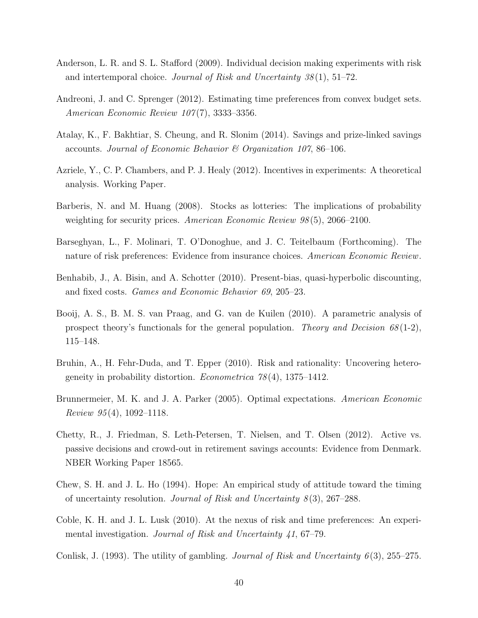- <span id="page-39-5"></span>Anderson, L. R. and S. L. Stafford (2009). Individual decision making experiments with risk and intertemporal choice. Journal of Risk and Uncertainty  $38(1)$ , 51–72.
- <span id="page-39-6"></span>Andreoni, J. and C. Sprenger (2012). Estimating time preferences from convex budget sets. American Economic Review 107(7), 3333–3356.
- <span id="page-39-4"></span>Atalay, K., F. Bakhtiar, S. Cheung, and R. Slonim (2014). Savings and prize-linked savings accounts. Journal of Economic Behavior & Organization 107, 86–106.
- <span id="page-39-8"></span>Azriele, Y., C. P. Chambers, and P. J. Healy (2012). Incentives in experiments: A theoretical analysis. Working Paper.
- <span id="page-39-2"></span>Barberis, N. and M. Huang (2008). Stocks as lotteries: The implications of probability weighting for security prices. American Economic Review  $98(5)$ , 2066–2100.
- <span id="page-39-3"></span>Barseghyan, L., F. Molinari, T. O'Donoghue, and J. C. Teitelbaum (Forthcoming). The nature of risk preferences: Evidence from insurance choices. American Economic Review.
- <span id="page-39-12"></span>Benhabib, J., A. Bisin, and A. Schotter (2010). Present-bias, quasi-hyperbolic discounting, and fixed costs. Games and Economic Behavior 69, 205–23.
- <span id="page-39-10"></span>Booij, A. S., B. M. S. van Praag, and G. van de Kuilen (2010). A parametric analysis of prospect theory's functionals for the general population. Theory and Decision  $68(1-2)$ , 115–148.
- <span id="page-39-7"></span>Bruhin, A., H. Fehr-Duda, and T. Epper (2010). Risk and rationality: Uncovering heterogeneity in probability distortion. *Econometrica*  $78(4)$ , 1375–1412.
- <span id="page-39-13"></span>Brunnermeier, M. K. and J. A. Parker (2005). Optimal expectations. American Economic Review  $95(4)$ , 1092–1118.
- <span id="page-39-0"></span>Chetty, R., J. Friedman, S. Leth-Petersen, T. Nielsen, and T. Olsen (2012). Active vs. passive decisions and crowd-out in retirement savings accounts: Evidence from Denmark. NBER Working Paper 18565.
- <span id="page-39-9"></span>Chew, S. H. and J. L. Ho (1994). Hope: An empirical study of attitude toward the timing of uncertainty resolution. Journal of Risk and Uncertainty  $8(3)$ , 267–288.
- <span id="page-39-11"></span>Coble, K. H. and J. L. Lusk (2010). At the nexus of risk and time preferences: An experimental investigation. *Journal of Risk and Uncertainty 41, 67–79*.
- <span id="page-39-1"></span>Conlisk, J. (1993). The utility of gambling. *Journal of Risk and Uncertainty*  $6(3)$ , 255–275.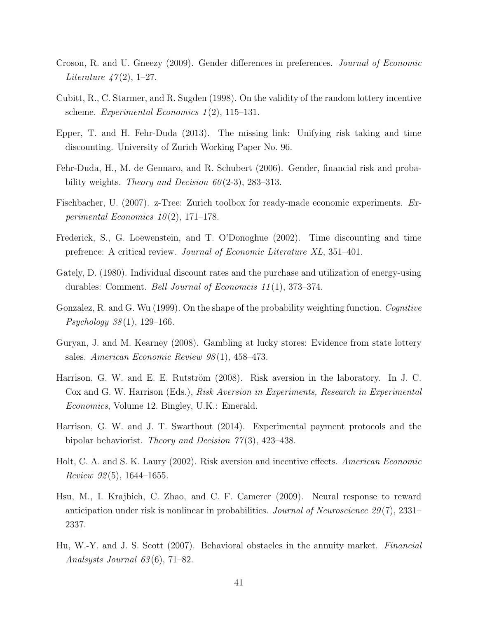- <span id="page-40-9"></span>Croson, R. and U. Gneezy (2009). Gender differences in preferences. Journal of Economic *Literature 47(2)*, 1–27.
- <span id="page-40-6"></span>Cubitt, R., C. Starmer, and R. Sugden (1998). On the validity of the random lottery incentive scheme. Experimental Economics  $1(2)$ , 115–131.
- <span id="page-40-1"></span>Epper, T. and H. Fehr-Duda (2013). The missing link: Unifying risk taking and time discounting. University of Zurich Working Paper No. 96.
- <span id="page-40-10"></span>Fehr-Duda, H., M. de Gennaro, and R. Schubert (2006). Gender, financial risk and probability weights. Theory and Decision  $60(2-3)$ , 283–313.
- <span id="page-40-5"></span>Fischbacher, U. (2007). z-Tree: Zurich toolbox for ready-made economic experiments. Experimental Economics  $10(2)$ , 171–178.
- <span id="page-40-12"></span>Frederick, S., G. Loewenstein, and T. O'Donoghue (2002). Time discounting and time prefrence: A critical review. Journal of Economic Literature XL, 351–401.
- <span id="page-40-13"></span>Gately, D. (1980). Individual discount rates and the purchase and utilization of energy-using durables: Comment. *Bell Journal of Economcis 11*(1), 373–374.
- <span id="page-40-2"></span>Gonzalez, R. and G. Wu (1999). On the shape of the probability weighting function. Cognitive Psychology 38 (1), 129–166.
- <span id="page-40-8"></span>Guryan, J. and M. Kearney (2008). Gambling at lucky stores: Evidence from state lottery sales. American Economic Review 98 (1), 458–473.
- <span id="page-40-4"></span>Harrison, G. W. and E. E. Rutström  $(2008)$ . Risk aversion in the laboratory. In J. C. Cox and G. W. Harrison (Eds.), Risk Aversion in Experiments, Research in Experimental Economics, Volume 12. Bingley, U.K.: Emerald.
- <span id="page-40-7"></span>Harrison, G. W. and J. T. Swarthout (2014). Experimental payment protocols and the bipolar behaviorist. *Theory and Decision 77(3)*, 423–438.
- <span id="page-40-3"></span>Holt, C. A. and S. K. Laury (2002). Risk aversion and incentive effects. American Economic Review  $92(5)$ , 1644–1655.
- <span id="page-40-11"></span>Hsu, M., I. Krajbich, C. Zhao, and C. F. Camerer (2009). Neural response to reward anticipation under risk is nonlinear in probabilities. Journal of Neuroscience  $29(7)$ ,  $2331-$ 2337.
- <span id="page-40-0"></span>Hu, W.-Y. and J. S. Scott (2007). Behavioral obstacles in the annuity market. Financial Analsysts Journal 63 (6), 71–82.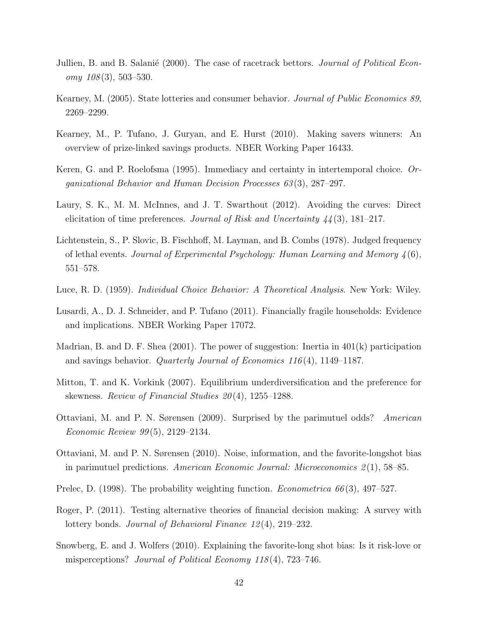- <span id="page-41-14"></span>Jullien, B. and B. Salanié (2000). The case of racetrack bettors. *Journal of Political Econ* $omy\ 108(3),\ 503-530.$
- <span id="page-41-11"></span>Kearney, M. (2005). State lotteries and consumer behavior. Journal of Public Economics 89, 2269–2299.
- <span id="page-41-3"></span>Kearney, M., P. Tufano, J. Guryan, and E. Hurst (2010). Making savers winners: An overview of prize-linked savings products. NBER Working Paper 16433.
- <span id="page-41-7"></span>Keren, G. and P. Roelofsma (1995). Immediacy and certainty in intertemporal choice. Organizational Behavior and Human Decision Processes 63 (3), 287–297.
- <span id="page-41-10"></span>Laury, S. K., M. M. McInnes, and J. T. Swarthout (2012). Avoiding the curves: Direct elicitation of time preferences. Journal of Risk and Uncertainty  $44(3)$ , 181–217.
- <span id="page-41-9"></span>Lichtenstein, S., P. Slovic, B. Fischhoff, M. Layman, and B. Combs (1978). Judged frequency of lethal events. Journal of Experimental Psychology: Human Learning and Memory  $\mathcal{L}(6)$ , 551–578.
- <span id="page-41-12"></span>Luce, R. D. (1959). Individual Choice Behavior: A Theoretical Analysis. New York: Wiley.
- <span id="page-41-1"></span>Lusardi, A., D. J. Schneider, and P. Tufano (2011). Financially fragile households: Evidence and implications. NBER Working Paper 17072.
- <span id="page-41-0"></span>Madrian, B. and D. F. Shea (2001). The power of suggestion: Inertia in 401(k) participation and savings behavior. *Quarterly Journal of Economics 116*(4), 1149–1187.
- <span id="page-41-2"></span>Mitton, T. and K. Vorkink (2007). Equilibrium underdiversification and the preference for skewness. Review of Financial Studies  $20(4)$ , 1255–1288.
- <span id="page-41-5"></span>Ottaviani, M. and P. N. Sørensen (2009). Surprised by the parimutuel odds? American Economic Review 99 (5), 2129–2134.
- <span id="page-41-6"></span>Ottaviani, M. and P. N. Sørensen (2010). Noise, information, and the favorite-longshot bias in parimutuel predictions. American Economic Journal: Microeconomics  $2(1)$ , 58–85.
- <span id="page-41-8"></span>Prelec, D. (1998). The probability weighting function. *Econometrica* 66(3), 497–527.
- <span id="page-41-13"></span>Roger, P. (2011). Testing alternative theories of financial decision making: A survey with lottery bonds. Journal of Behavioral Finance 12 (4), 219–232.
- <span id="page-41-4"></span>Snowberg, E. and J. Wolfers (2010). Explaining the favorite-long shot bias: Is it risk-love or misperceptions? Journal of Political Economy 118(4), 723-746.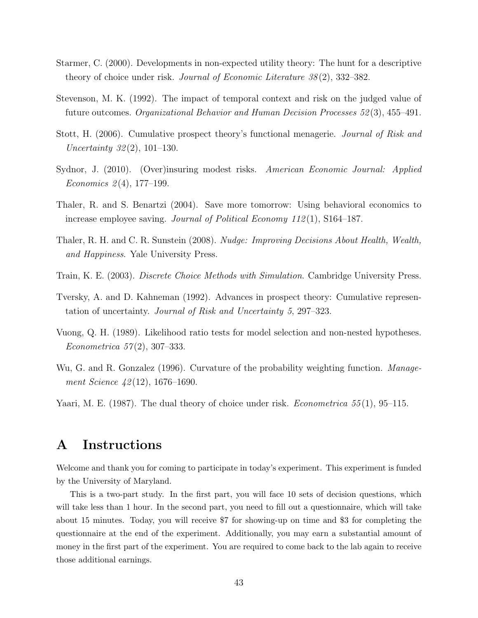- <span id="page-42-1"></span>Starmer, C. (2000). Developments in non-expected utility theory: The hunt for a descriptive theory of choice under risk. *Journal of Economic Literature 38*(2), 332–382.
- <span id="page-42-11"></span>Stevenson, M. K. (1992). The impact of temporal context and risk on the judged value of future outcomes. Organizational Behavior and Human Decision Processes 52 (3), 455–491.
- <span id="page-42-6"></span>Stott, H. (2006). Cumulative prospect theory's functional menagerie. Journal of Risk and Uncertainty 32 (2), 101–130.
- <span id="page-42-3"></span>Sydnor, J. (2010). (Over)insuring modest risks. American Economic Journal: Applied Economics  $2(4)$ , 177–199.
- <span id="page-42-0"></span>Thaler, R. and S. Benartzi (2004). Save more tomorrow: Using behavioral economics to increase employee saving. Journal of Political Economy  $112(1)$ , S164–187.
- <span id="page-42-2"></span>Thaler, R. H. and C. R. Sunstein (2008). Nudge: Improving Decisions About Health, Wealth, and Happiness. Yale University Press.
- <span id="page-42-10"></span>Train, K. E. (2003). Discrete Choice Methods with Simulation. Cambridge University Press.
- <span id="page-42-5"></span>Tversky, A. and D. Kahneman (1992). Advances in prospect theory: Cumulative representation of uncertainty. Journal of Risk and Uncertainty 5, 297–323.
- <span id="page-42-9"></span>Vuong, Q. H. (1989). Likelihood ratio tests for model selection and non-nested hypotheses. Econometrica  $57(2)$ , 307-333.
- <span id="page-42-8"></span>Wu, G. and R. Gonzalez (1996). Curvature of the probability weighting function. Management Science  $42(12)$ , 1676–1690.
- <span id="page-42-4"></span>Yaari, M. E. (1987). The dual theory of choice under risk. *Econometrica*  $55(1)$ , 95–115.

## <span id="page-42-7"></span>A Instructions

Welcome and thank you for coming to participate in today's experiment. This experiment is funded by the University of Maryland.

This is a two-part study. In the first part, you will face 10 sets of decision questions, which will take less than 1 hour. In the second part, you need to fill out a questionnaire, which will take about 15 minutes. Today, you will receive \$7 for showing-up on time and \$3 for completing the questionnaire at the end of the experiment. Additionally, you may earn a substantial amount of money in the first part of the experiment. You are required to come back to the lab again to receive those additional earnings.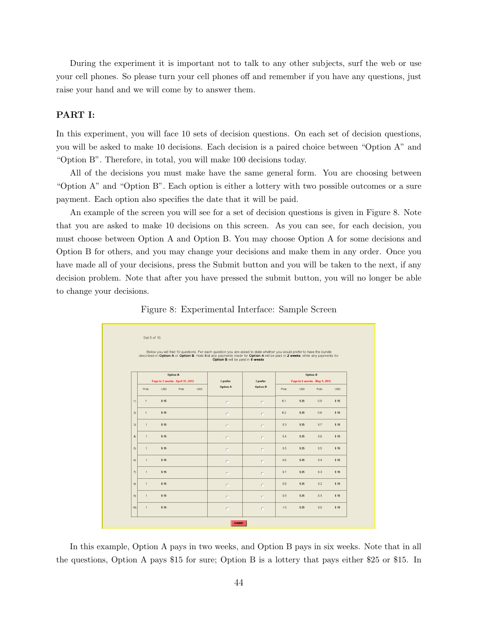During the experiment it is important not to talk to any other subjects, surf the web or use your cell phones. So please turn your cell phones off and remember if you have any questions, just raise your hand and we will come by to answer them.

#### PART I:

In this experiment, you will face 10 sets of decision questions. On each set of decision questions, you will be asked to make 10 decisions. Each decision is a paired choice between "Option A" and "Option B". Therefore, in total, you will make 100 decisions today.

All of the decisions you must make have the same general form. You are choosing between "Option A" and "Option B". Each option is either a lottery with two possible outcomes or a sure payment. Each option also specifies the date that it will be paid.

An example of the screen you will see for a set of decision questions is given in Figure [8.](#page-43-0) Note that you are asked to make 10 decisions on this screen. As you can see, for each decision, you must choose between Option A and Option B. You may choose Option A for some decisions and Option B for others, and you may change your decisions and make them in any order. Once you have made all of your decisions, press the Submit button and you will be taken to the next, if any decision problem. Note that after you have pressed the submit button, you will no longer be able to change your decisions.

<span id="page-43-0"></span>

| Below you will find 10 questions. For each question you are asked to state whether you would prefer to have the bundle<br>described in Option A or Option B. Note that any payments made for Option A will be paid in 2 weeks, while any payments for<br>Option B will be paid in 6 weeks. |                      |                                  |       |            |                 |                      |                               |            |       |            |
|--------------------------------------------------------------------------------------------------------------------------------------------------------------------------------------------------------------------------------------------------------------------------------------------|----------------------|----------------------------------|-------|------------|-----------------|----------------------|-------------------------------|------------|-------|------------|
|                                                                                                                                                                                                                                                                                            | Option A<br>Option B |                                  |       |            |                 |                      |                               |            |       |            |
|                                                                                                                                                                                                                                                                                            |                      | Pays in 2 weeks - April 11, 2012 |       |            | I prefer        | I prefer<br>Option B | Pays in 6 weeks - May 9, 2012 |            |       |            |
|                                                                                                                                                                                                                                                                                            | Prob.                | <b>USD</b>                       | Prob. | <b>USD</b> | <b>Option A</b> |                      | Prob.                         | <b>USD</b> | Prob. | <b>USD</b> |
| 1)                                                                                                                                                                                                                                                                                         | $\mathbf{1}$         | \$15                             |       |            | $\Box$          | $\Box$               | 0.1                           | \$25       | 0.9   | \$15       |
| 2)                                                                                                                                                                                                                                                                                         | $\mathbf{1}$         | \$15                             |       |            | $\Box$          | $\Box$               | 0.2                           | \$25       | 0.8   | \$15       |
| 3)                                                                                                                                                                                                                                                                                         | $\overline{1}$       | \$15                             |       |            | $\Box$          | $\Box$               | 0.3                           | \$25       | 0.7   | \$15       |
| 4)                                                                                                                                                                                                                                                                                         | $\overline{1}$       | \$15                             |       |            | $\Box$          | $\Box$               | 0.4                           | \$25       | 0.6   | \$15       |
| 5)                                                                                                                                                                                                                                                                                         | $\mathbf{1}$         | \$15                             |       |            | $\Box$          | $\Box$               | 0.5                           | \$25       | 0.5   | \$15       |
| 6)                                                                                                                                                                                                                                                                                         | $\overline{1}$       | \$15                             |       |            | $\Box$          | $\Box$               | 0.6                           | \$25       | 0.4   | \$15       |
| $\sqrt{2}$                                                                                                                                                                                                                                                                                 | $\overline{1}$       | \$15                             |       |            | $\Box$          | $\Box$               | 0.7                           | \$25       | 0.3   | \$15       |
| 8)                                                                                                                                                                                                                                                                                         | $\overline{1}$       | \$15                             |       |            | $\Box$          | $\Box$               | 0.8                           | \$25       | 0.2   | \$15       |
| 9)                                                                                                                                                                                                                                                                                         | $\overline{1}$       | \$15                             |       |            | $\Box$          | $\Box$               | 0.9                           | \$25       | 0.1   | \$15       |
| 10)                                                                                                                                                                                                                                                                                        | $\overline{1}$       | \$15                             |       |            | $\Box$          | $\Box$               | 1.0                           | \$25       | 0.0   | \$15       |

Figure 8: Experimental Interface: Sample Screen

In this example, Option A pays in two weeks, and Option B pays in six weeks. Note that in all the questions, Option A pays \$15 for sure; Option B is a lottery that pays either \$25 or \$15. In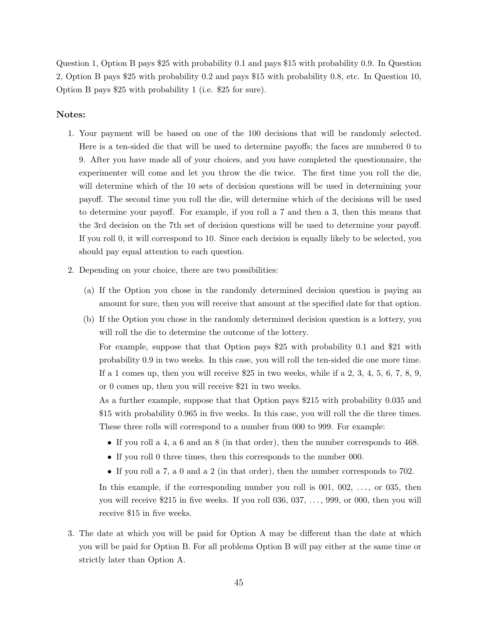Question 1, Option B pays \$25 with probability 0.1 and pays \$15 with probability 0.9. In Question 2, Option B pays \$25 with probability 0.2 and pays \$15 with probability 0.8, etc. In Question 10, Option B pays \$25 with probability 1 (i.e. \$25 for sure).

#### Notes:

- 1. Your payment will be based on one of the 100 decisions that will be randomly selected. Here is a ten-sided die that will be used to determine payoffs; the faces are numbered 0 to 9. After you have made all of your choices, and you have completed the questionnaire, the experimenter will come and let you throw the die twice. The first time you roll the die, will determine which of the 10 sets of decision questions will be used in determining your payoff. The second time you roll the die, will determine which of the decisions will be used to determine your payoff. For example, if you roll a 7 and then a 3, then this means that the 3rd decision on the 7th set of decision questions will be used to determine your payoff. If you roll 0, it will correspond to 10. Since each decision is equally likely to be selected, you should pay equal attention to each question.
- 2. Depending on your choice, there are two possibilities:
	- (a) If the Option you chose in the randomly determined decision question is paying an amount for sure, then you will receive that amount at the specified date for that option.
	- (b) If the Option you chose in the randomly determined decision question is a lottery, you will roll the die to determine the outcome of the lottery. For example, suppose that that Option pays \$25 with probability 0.1 and \$21 with probability 0.9 in two weeks. In this case, you will roll the ten-sided die one more time. If a 1 comes up, then you will receive \$25 in two weeks, while if a 2, 3, 4, 5, 6, 7, 8, 9, or 0 comes up, then you will receive \$21 in two weeks.

As a further example, suppose that that Option pays \$215 with probability 0.035 and \$15 with probability 0.965 in five weeks. In this case, you will roll the die three times. These three rolls will correspond to a number from 000 to 999. For example:

- If you roll a 4, a 6 and an 8 (in that order), then the number corresponds to 468.
- If you roll 0 three times, then this corresponds to the number 000.
- If you roll a 7, a 0 and a 2 (in that order), then the number corresponds to 702.

In this example, if the corresponding number you roll is  $001, 002, \ldots$ , or  $035$ , then you will receive \$215 in five weeks. If you roll 036, 037, . . . , 999, or 000, then you will receive \$15 in five weeks.

3. The date at which you will be paid for Option A may be different than the date at which you will be paid for Option B. For all problems Option B will pay either at the same time or strictly later than Option A.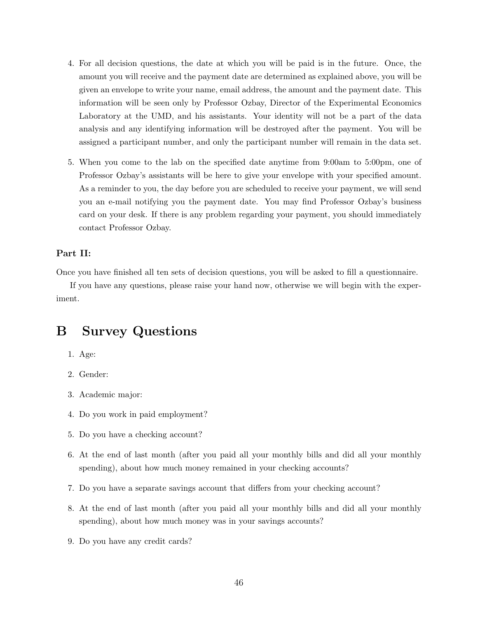- 4. For all decision questions, the date at which you will be paid is in the future. Once, the amount you will receive and the payment date are determined as explained above, you will be given an envelope to write your name, email address, the amount and the payment date. This information will be seen only by Professor Ozbay, Director of the Experimental Economics Laboratory at the UMD, and his assistants. Your identity will not be a part of the data analysis and any identifying information will be destroyed after the payment. You will be assigned a participant number, and only the participant number will remain in the data set.
- 5. When you come to the lab on the specified date anytime from 9:00am to 5:00pm, one of Professor Ozbay's assistants will be here to give your envelope with your specified amount. As a reminder to you, the day before you are scheduled to receive your payment, we will send you an e-mail notifying you the payment date. You may find Professor Ozbay's business card on your desk. If there is any problem regarding your payment, you should immediately contact Professor Ozbay.

#### Part II:

Once you have finished all ten sets of decision questions, you will be asked to fill a questionnaire.

If you have any questions, please raise your hand now, otherwise we will begin with the experiment.

## <span id="page-45-0"></span>B Survey Questions

- 1. Age:
- 2. Gender:
- 3. Academic major:
- 4. Do you work in paid employment?
- 5. Do you have a checking account?
- 6. At the end of last month (after you paid all your monthly bills and did all your monthly spending), about how much money remained in your checking accounts?
- 7. Do you have a separate savings account that differs from your checking account?
- 8. At the end of last month (after you paid all your monthly bills and did all your monthly spending), about how much money was in your savings accounts?
- 9. Do you have any credit cards?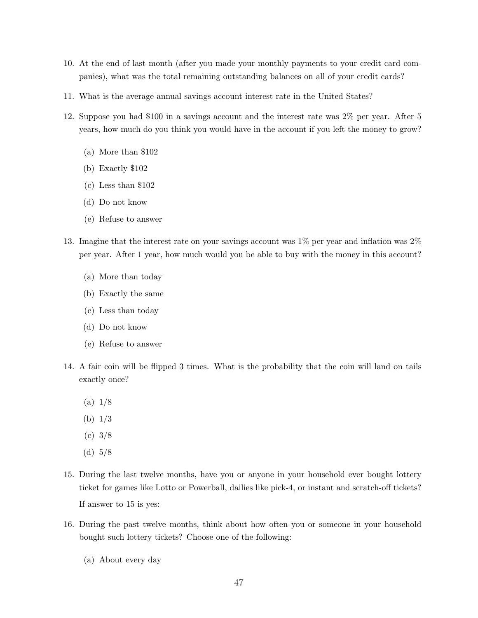- 10. At the end of last month (after you made your monthly payments to your credit card companies), what was the total remaining outstanding balances on all of your credit cards?
- 11. What is the average annual savings account interest rate in the United States?
- 12. Suppose you had \$100 in a savings account and the interest rate was 2% per year. After 5 years, how much do you think you would have in the account if you left the money to grow?
	- (a) More than \$102
	- (b) Exactly \$102
	- (c) Less than \$102
	- (d) Do not know
	- (e) Refuse to answer
- 13. Imagine that the interest rate on your savings account was 1% per year and inflation was 2% per year. After 1 year, how much would you be able to buy with the money in this account?
	- (a) More than today
	- (b) Exactly the same
	- (c) Less than today
	- (d) Do not know
	- (e) Refuse to answer
- 14. A fair coin will be flipped 3 times. What is the probability that the coin will land on tails exactly once?
	- (a) 1/8
	- (b) 1/3
	- (c) 3/8
	- (d) 5/8
- 15. During the last twelve months, have you or anyone in your household ever bought lottery ticket for games like Lotto or Powerball, dailies like pick-4, or instant and scratch-off tickets? If answer to 15 is yes:
- 16. During the past twelve months, think about how often you or someone in your household bought such lottery tickets? Choose one of the following:
	- (a) About every day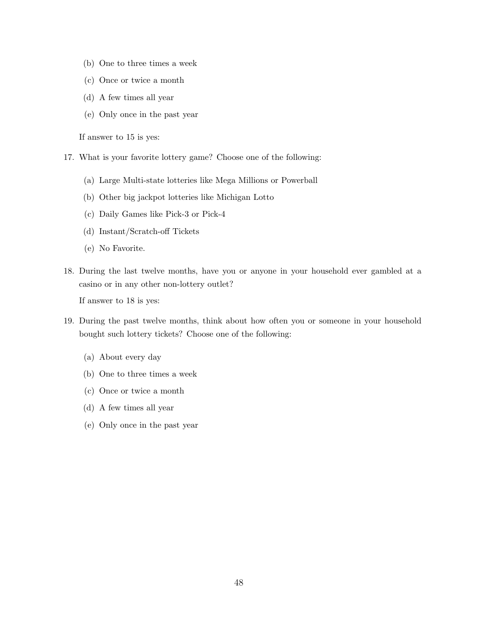- (b) One to three times a week
- (c) Once or twice a month
- (d) A few times all year
- (e) Only once in the past year

If answer to 15 is yes:

- 17. What is your favorite lottery game? Choose one of the following:
	- (a) Large Multi-state lotteries like Mega Millions or Powerball
	- (b) Other big jackpot lotteries like Michigan Lotto
	- (c) Daily Games like Pick-3 or Pick-4
	- (d) Instant/Scratch-off Tickets
	- (e) No Favorite.
- 18. During the last twelve months, have you or anyone in your household ever gambled at a casino or in any other non-lottery outlet?

If answer to 18 is yes:

- 19. During the past twelve months, think about how often you or someone in your household bought such lottery tickets? Choose one of the following:
	- (a) About every day
	- (b) One to three times a week
	- (c) Once or twice a month
	- (d) A few times all year
	- (e) Only once in the past year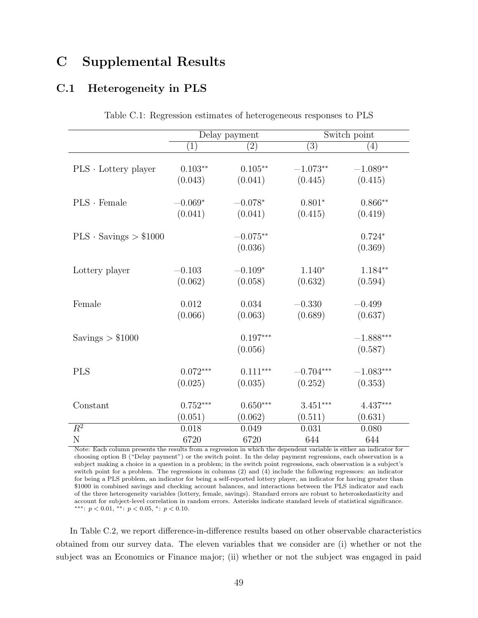## <span id="page-48-0"></span>C Supplemental Results

### <span id="page-48-1"></span>C.1 Heterogeneity in PLS

|                             |            | Delay payment    |                  | Switch point     |
|-----------------------------|------------|------------------|------------------|------------------|
|                             | (1)        | $\overline{(2)}$ | $\overline{(3)}$ | $\left(4\right)$ |
|                             |            |                  |                  |                  |
| $PLS \cdot Lottery$ player  | $0.103**$  | $0.105**$        | $-1.073**$       | $-1.089**$       |
|                             | (0.043)    | (0.041)          | (0.445)          | (0.415)          |
| $PLS \cdot Female$          | $-0.069*$  | $-0.078*$        | $0.801*$         | $0.866**$        |
|                             | (0.041)    | (0.041)          | (0.415)          | (0.419)          |
|                             |            |                  |                  |                  |
| $PLS \cdot Savings > $1000$ |            | $-0.075**$       |                  | $0.724*$         |
|                             |            | (0.036)          |                  | (0.369)          |
| Lottery player              | $-0.103$   | $-0.109*$        | $1.140*$         | $1.184**$        |
|                             | (0.062)    | (0.058)          | (0.632)          | (0.594)          |
| Female                      | $0.012\,$  | $0.034\,$        | $-0.330\,$       | $-0.499$         |
|                             | (0.066)    | (0.063)          | (0.689)          | (0.637)          |
|                             |            |                  |                  |                  |
| Savings $> $1000$           |            | $0.197***$       |                  | $-1.888***$      |
|                             |            | (0.056)          |                  | (0.587)          |
| <b>PLS</b>                  | $0.072***$ | $0.111***$       | $-0.704***$      | $-1.083***$      |
|                             | (0.025)    | (0.035)          | (0.252)          | (0.353)          |
|                             |            |                  |                  |                  |
| Constant                    | $0.752***$ | $0.650***$       | $3.451***$       | $4.437***$       |
|                             | (0.051)    | (0.062)          | (0.511)          | (0.631)          |
| $\overline{R^2}$            | $0.018\,$  | 0.049            | 0.031            | 0.080            |
| $\mathbf N$                 | 6720       | 6720             | 644              | 644              |

Table C.1: Regression estimates of heterogeneous responses to PLS

Note: Each column presents the results from a regression in which the dependent variable is either an indicator for choosing option B ("Delay payment") or the switch point. In the delay payment regressions, each observation is a subject making a choice in a question in a problem; in the switch point regressions, each observation is a subject's switch point for a problem. The regressions in columns (2) and (4) include the following regressors: an indicator for being a PLS problem, an indicator for being a self-reported lottery player, an indicator for having greater than \$1000 in combined savings and checking account balances, and interactions between the PLS indicator and each of the three heterogeneity variables (lottery, female, savings). Standard errors are robust to heteroskedasticity and account for subject-level correlation in random errors. Asterisks indicate standard levels of statistical significance. ∗∗∗: p < 0.01, ∗∗: p < 0.05, <sup>∗</sup>: p < 0.10.

In Table [C.2,](#page-50-0) we report difference-in-difference results based on other observable characteristics obtained from our survey data. The eleven variables that we consider are (i) whether or not the subject was an Economics or Finance major; (ii) whether or not the subject was engaged in paid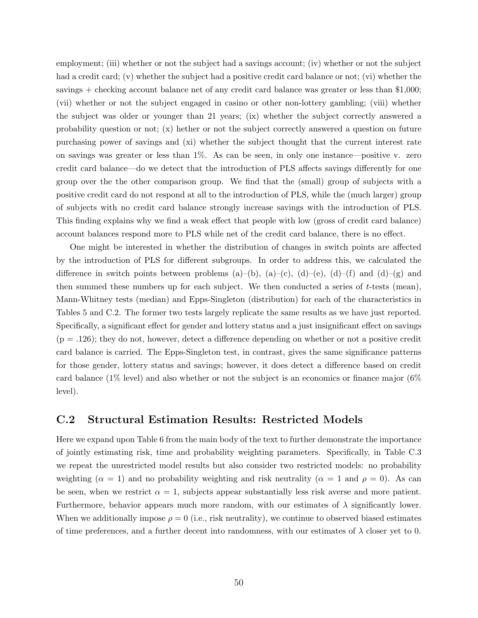employment; (iii) whether or not the subject had a savings account; (iv) whether or not the subject had a credit card; (v) whether the subject had a positive credit card balance or not; (vi) whether the savings + checking account balance net of any credit card balance was greater or less than \$1,000; (vii) whether or not the subject engaged in casino or other non-lottery gambling; (viii) whether the subject was older or younger than 21 years; (ix) whether the subject correctly answered a probability question or not; (x) hether or not the subject correctly answered a question on future purchasing power of savings and (xi) whether the subject thought that the current interest rate on savings was greater or less than  $1\%$ . As can be seen, in only one instance—positive v. zero credit card balance—do we detect that the introduction of PLS affects savings differently for one group over the the other comparison group. We find that the (small) group of subjects with a positive credit card do not respond at all to the introduction of PLS, while the (much larger) group of subjects with no credit card balance strongly increase savings with the introduction of PLS. This finding explains why we find a weak effect that people with low (gross of credit card balance) account balances respond more to PLS while net of the credit card balance, there is no effect.

One might be interested in whether the distribution of changes in switch points are affected by the introduction of PLS for different subgroups. In order to address this, we calculated the difference in switch points between problems (a)–(b), (a)–(c), (d)–(e), (d)–(f) and (d)–(g) and then summed these numbers up for each subject. We then conducted a series of  $t$ -tests (mean), Mann-Whitney tests (median) and Epps-Singleton (distribution) for each of the characteristics in Tables [5](#page-17-0) and [C.2.](#page-50-0) The former two tests largely replicate the same results as we have just reported. Specifically, a significant effect for gender and lottery status and a just insignificant effect on savings  $(p = .126)$ ; they do not, however, detect a difference depending on whether or not a positive credit card balance is carried. The Epps-Singleton test, in contrast, gives the same significance patterns for those gender, lottery status and savings; however, it does detect a difference based on credit card balance (1% level) and also whether or not the subject is an economics or finance major (6% level).

### <span id="page-49-0"></span>C.2 Structural Estimation Results: Restricted Models

Here we expand upon Table [6](#page-24-0) from the main body of the text to further demonstrate the importance of jointly estimating risk, time and probability weighting parameters. Specifically, in Table [C.3](#page-52-1) we repeat the unrestricted model results but also consider two restricted models: no probability weighting ( $\alpha = 1$ ) and no probability weighting and risk neutrality ( $\alpha = 1$  and  $\rho = 0$ ). As can be seen, when we restrict  $\alpha = 1$ , subjects appear substantially less risk averse and more patient. Furthermore, behavior appears much more random, with our estimates of  $\lambda$  significantly lower. When we additionally impose  $\rho = 0$  (i.e., risk neutrality), we continue to observed biased estimates of time preferences, and a further decent into randomness, with our estimates of  $\lambda$  closer yet to 0.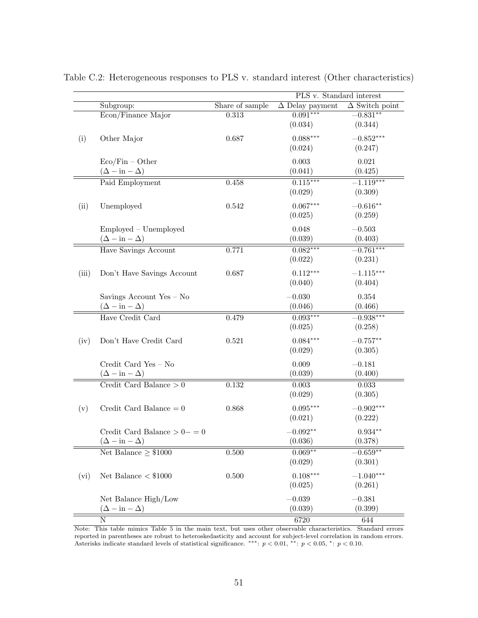|       |                               | PLS v. Standard interest |                        |                                  |
|-------|-------------------------------|--------------------------|------------------------|----------------------------------|
|       | Subgroup:                     | Share of sample          | $\Delta$ Delay payment | $\overline{\Delta}$ Switch point |
|       | Econ/Finance Major            | 0.313                    | $0.091***$             | $-0.831**$                       |
|       |                               |                          | (0.034)                | (0.344)                          |
|       |                               | 0.687                    | $0.088***$             | $-0.852***$                      |
| (i)   | Other Major                   |                          | (0.024)                | (0.247)                          |
|       |                               |                          |                        |                                  |
|       | $Eco/Fin - Other$             |                          | 0.003                  | 0.021                            |
|       | $(\Delta - in - \Delta)$      |                          | (0.041)                | (0.425)                          |
|       | Paid Employment               | 0.458                    | $0.115***$             | $-1.119***$                      |
|       |                               |                          | (0.029)                | (0.309)                          |
| (ii)  | Unemployed                    | 0.542                    | $0.067***$             | $-0.616**$                       |
|       |                               |                          | (0.025)                | (0.259)                          |
|       |                               |                          |                        |                                  |
|       | Employed - Unemployed         |                          | 0.048                  | $-0.503$                         |
|       | $(\Delta - in - \Delta)$      |                          | (0.039)                | (0.403)                          |
|       | Have Savings Account          | 0.771                    | $0.082***$             | $-0.761***$                      |
|       |                               |                          | (0.022)                | (0.231)                          |
| (iii) | Don't Have Savings Account    | 0.687                    | $0.112***$             | $-1.115***$                      |
|       |                               |                          | (0.040)                | (0.404)                          |
|       |                               |                          |                        |                                  |
|       | Savings Account Yes - No      |                          | $-0.030$               | 0.354                            |
|       | $(\Delta - in - \Delta)$      |                          | (0.046)                | (0.466)                          |
|       | Have Credit Card              | 0.479                    | $0.093***$             | $-0.938***$                      |
|       |                               |                          | (0.025)                | (0.258)                          |
| (iv)  | Don't Have Credit Card        | 0.521                    | $0.084***$             | $-0.757**$                       |
|       |                               |                          | (0.029)                | (0.305)                          |
|       | Credit Card Yes $-$ No        |                          | 0.009                  | $-0.181$                         |
|       | $(\Delta - in - \Delta)$      |                          | (0.039)                | (0.400)                          |
|       | Credit Card Balance $>0$      | 0.132                    | 0.003                  | 0.033                            |
|       |                               |                          | (0.029)                | (0.305)                          |
|       |                               |                          |                        |                                  |
| (v)   | Credit Card Balance $= 0$     | 0.868                    | $0.095***$             | $-0.902***$                      |
|       |                               |                          | (0.021)                | (0.222)                          |
|       | Credit Card Balance $> 0 - 0$ |                          | $-0.092**$             | $0.934**$                        |
|       | $(\Delta - in - \Delta)$      |                          | (0.036)                | (0.378)                          |
|       | Net Balance $\geq$ \$1000     | 0.500                    | $0.069**$              | $-0.\overline{659^{**}}$         |
|       |                               |                          | (0.029)                | (0.301)                          |
|       |                               |                          |                        |                                  |
| (vi)  | Net Balance $<$ \$1000        | 0.500                    | $0.108***$             | $-1.040***$                      |
|       |                               |                          | (0.025)                | (0.261)                          |
|       | Net Balance High/Low          |                          | $-0.039$               | $-0.381$                         |
|       | $(\Delta - in - \Delta)$      |                          | (0.039)                | (0.399)                          |
|       | $\overline{\text{N}}$         |                          | 6720                   | 644                              |

<span id="page-50-0"></span>Table C.2: Heterogeneous responses to PLS v. standard interest (Other characteristics)

Note: This table mimics Table [5](#page-17-0) in the main text, but uses other observable characteristics. Standard errors reported in parentheses are robust to heteroskedasticity and account for subject-level correlation in random errors. Asterisks indicate standard levels of statistical significance. \*\*\*:  $p < 0.01$ , \*\*:  $p < 0.05$ , \*:  $p < 0.10$ .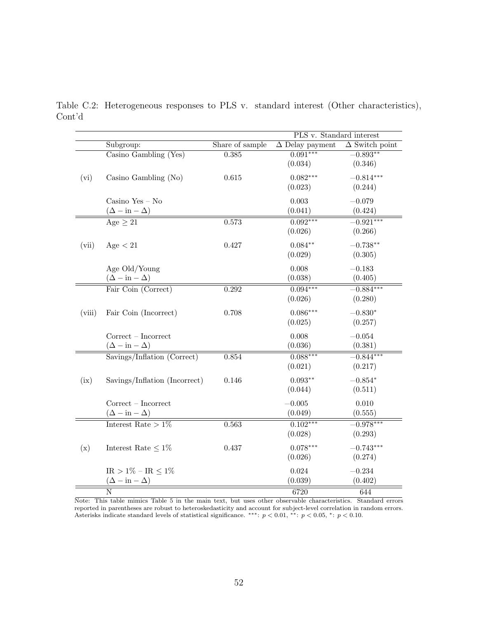|        | PLS v. Standard interest                  |                 |                        |                       |  |
|--------|-------------------------------------------|-----------------|------------------------|-----------------------|--|
|        | Subgroup:                                 | Share of sample | $\Delta$ Delay payment | $\Delta$ Switch point |  |
|        | $\overline{\text{Casino Gambling (Yes)}}$ | 0.385           | $0.091***$             | $-0.893**$            |  |
|        |                                           |                 | (0.034)                | (0.346)               |  |
| (vi)   | Casino Gambling $(No)$                    | 0.615           | $0.082***$             | $-0.814***$           |  |
|        |                                           |                 | (0.023)                | (0.244)               |  |
|        | $Casino Yes - No$                         |                 | 0.003                  | $-0.079$              |  |
|        | $(\Delta - in - \Delta)$                  |                 | (0.041)                | (0.424)               |  |
|        | Age > 21                                  | 0.573           | $0.092***$             | $-0.921***$           |  |
|        |                                           |                 | (0.026)                | (0.266)               |  |
| (vii)  | Age $< 21$                                | 0.427           | $0.084**$              | $-0.738**$            |  |
|        |                                           |                 | (0.029)                | (0.305)               |  |
|        | Age Old/Young                             |                 | 0.008                  | $-0.183$              |  |
|        | $(\Delta - in - \Delta)$                  |                 | (0.038)                | (0.405)               |  |
|        | Fair Coin (Correct)                       | 0.292           | $0.094***$             | $-0.884***$           |  |
|        |                                           |                 | (0.026)                | (0.280)               |  |
| (viii) | Fair Coin (Incorrect)                     | 0.708           | $0.086***$             | $-0.830*$             |  |
|        |                                           |                 | (0.025)                | (0.257)               |  |
|        | $Correct - Incorrect$                     |                 | 0.008                  | $-0.054$              |  |
|        | $(\Delta - \text{in} - \Delta)$           |                 | (0.036)                | (0.381)               |  |
|        | Savings/Inflation (Correct)               | 0.854           | $0.088***$             | $-0.844***$           |  |
|        |                                           |                 | (0.021)                | (0.217)               |  |
| (ix)   | Savings/Inflation (Incorrect)             | 0.146           | $0.093**$              | $-0.854*$             |  |
|        |                                           |                 | (0.044)                | (0.511)               |  |
|        | $Correct - Incorrect$                     |                 | $-0.005$               | 0.010                 |  |
|        | $(\Delta - in - \Delta)$                  |                 | (0.049)                | (0.555)               |  |
|        | Interest Rate $> 1\%$                     | 0.563           | $0.102***$             | $-0.978***$           |  |
|        |                                           |                 | (0.028)                | (0.293)               |  |
| (x)    | Interest Rate $\leq 1\%$                  | 0.437           | $0.078***$             | $-0.743***$           |  |
|        |                                           |                 | (0.026)                | (0.274)               |  |
|        | $IR > 1\% - IR \leq 1\%$                  |                 | 0.024                  | $-0.234$              |  |
|        | $(\Delta - \text{in} - \Delta)$           |                 | (0.039)                | (0.402)               |  |
|        | $\overline{\text{N}}$                     |                 | 6720                   | 644                   |  |

Table C.2: Heterogeneous responses to PLS v. standard interest (Other characteristics), Cont'd

Note: This table mimics Table [5](#page-17-0) in the main text, but uses other observable characteristics. Standard errors reported in parentheses are robust to heteroskedasticity and account for subject-level correlation in random errors. Asterisks indicate standard levels of statistical significance. \*\*\*:  $p < 0.01$ , \*\*:  $p < 0.05$ , \*:  $p < 0.10$ .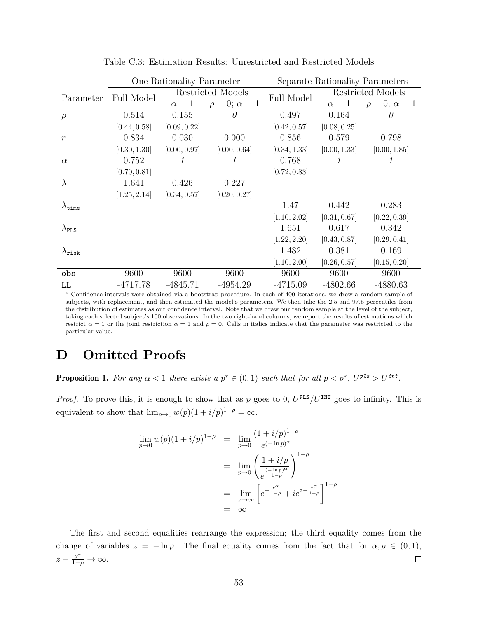<span id="page-52-1"></span>

|                        |                   | One Rationality Parameter |                           | Separate Rationality Parameters |                   |                           |  |  |
|------------------------|-------------------|---------------------------|---------------------------|---------------------------------|-------------------|---------------------------|--|--|
| Parameter              | <b>Full Model</b> | Restricted Models         |                           | <b>Full Model</b>               | Restricted Models |                           |  |  |
|                        |                   | $\alpha=1$                | $\rho = 0$ ; $\alpha = 1$ |                                 | $\alpha=1$        | $\rho = 0$ ; $\alpha = 1$ |  |  |
| $\rho$                 | 0.514             | 0.155                     | 0                         | 0.497                           | 0.164             | $\theta$                  |  |  |
|                        | [0.44, 0.58]      | [0.09, 0.22]              |                           | [0.42, 0.57]                    | [0.08, 0.25]      |                           |  |  |
| $\mathcal{r}$          | 0.834             | 0.030                     | 0.000                     | 0.856                           | 0.579             | 0.798                     |  |  |
|                        | [0.30, 1.30]      | [0.00, 0.97]              | [0.00, 0.64]              | [0.34, 1.33]                    | [0.00, 1.33]      | [0.00, 1.85]              |  |  |
| $\alpha$               | 0.752             | 1                         | 1                         | 0.768                           | 1                 | 1                         |  |  |
|                        | [0.70, 0.81]      |                           |                           | [0.72, 0.83]                    |                   |                           |  |  |
| $\lambda$              | 1.641             | 0.426                     | 0.227                     |                                 |                   |                           |  |  |
|                        | [1.25, 2.14]      | [0.34, 0.57]              | [0.20, 0.27]              |                                 |                   |                           |  |  |
| $\lambda_{\tt time}$   |                   |                           |                           | 1.47                            | 0.442             | 0.283                     |  |  |
|                        |                   |                           |                           | [1.10, 2.02]                    | [0.31, 0.67]      | [0.22, 0.39]              |  |  |
| $\lambda_{\text{PLS}}$ |                   |                           |                           | 1.651                           | 0.617             | 0.342                     |  |  |
|                        |                   |                           |                           | [1.22, 2.20]                    | [0.43, 0.87]      | [0.29, 0.41]              |  |  |
| $\lambda_{\tt risk}$   |                   |                           |                           | 1.482                           | 0.381             | 0.169                     |  |  |
|                        |                   |                           |                           | [1.10, 2.00]                    | [0.26, 0.57]      | [0.15, 0.20]              |  |  |
| obs                    | 9600              | 9600                      | 9600                      | 9600                            | 9600              | 9600                      |  |  |
| LL.                    | $-4717.78$        | $-4845.71$                | $-4954.29$                | $-4715.09$                      | $-4802.66$        | $-4880.63$                |  |  |

Table C.3: Estimation Results: Unrestricted and Restricted Models

<sup>∗</sup> Confidence intervals were obtained via a bootstrap procedure. In each of 400 iterations, we drew a random sample of subjects, with replacement, and then estimated the model's parameters. We then take the 2.5 and 97.5 percentiles from the distribution of estimates as our confidence interval. Note that we draw our random sample at the level of the subject, taking each selected subject's 100 observations. In the two right-hand columns, we report the results of estimations which restrict  $\alpha = 1$  or the joint restriction  $\alpha = 1$  and  $\rho = 0$ . Cells in italics indicate that the parameter was restricted to the particular value.

## <span id="page-52-0"></span>D Omitted Proofs

**Proposition 1.** For any  $\alpha < 1$  there exists a  $p^* \in (0,1)$  such that for all  $p < p^*$ ,  $U^{pls} > U^{int}$ .

*Proof.* To prove this, it is enough to show that as p goes to 0,  $U^{PLS}/U^{INT}$  goes to infinity. This is equivalent to show that  $\lim_{p\to 0} w(p)(1+i/p)^{1-\rho} = \infty$ .

$$
\lim_{p \to 0} w(p)(1 + i/p)^{1-\rho} = \lim_{p \to 0} \frac{(1 + i/p)^{1-\rho}}{e^{(-\ln p)^{\alpha}}}
$$

$$
= \lim_{p \to 0} \left( \frac{1 + i/p}{e^{\frac{(-\ln p)^{\alpha}}{1-\rho}}} \right)^{1-\rho}
$$

$$
= \lim_{z \to \infty} \left[ e^{-\frac{z^{\alpha}}{1-\rho}} + ie^{z - \frac{z^{\alpha}}{1-\rho}} \right]^{1-\rho}
$$

$$
= \infty
$$

The first and second equalities rearrange the expression; the third equality comes from the change of variables  $z = -\ln p$ . The final equality comes from the fact that for  $\alpha, \rho \in (0, 1)$ ,  $z-\frac{z^{\alpha}}{1-z}$  $rac{z^{\alpha}}{1-\rho}\to\infty.$  $\Box$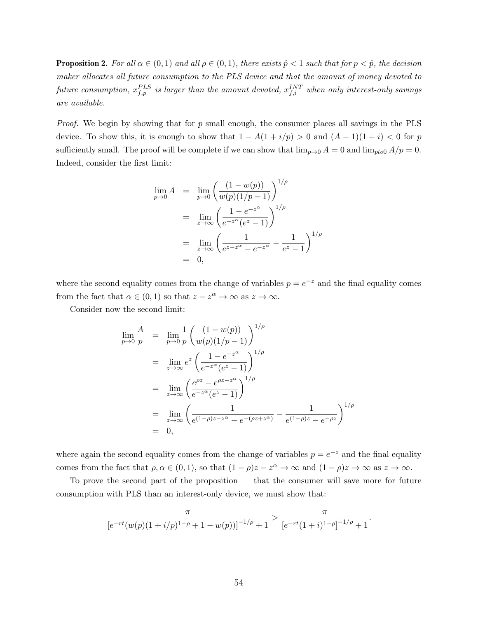**Proposition 2.** For all  $\alpha \in (0,1)$  and all  $\rho \in (0,1)$ , there exists  $\hat{p} < 1$  such that for  $p < \hat{p}$ , the decision maker allocates all future consumption to the PLS device and that the amount of money devoted to future consumption,  $x_{f,p}^{PLS}$  is larger than the amount devoted,  $x_{f,i}^{INT}$  when only interest-only savings are available.

*Proof.* We begin by showing that for  $p$  small enough, the consumer places all savings in the PLS device. To show this, it is enough to show that  $1 - A(1 + i/p) > 0$  and  $(A - 1)(1 + i) < 0$  for p sufficiently small. The proof will be complete if we can show that  $\lim_{p\to 0} A = 0$  and  $\lim_{pt \to 0} A/p = 0$ . Indeed, consider the first limit:

$$
\lim_{p \to 0} A = \lim_{p \to 0} \left( \frac{(1 - w(p))}{w(p)(1/p - 1)} \right)^{1/\rho}
$$
  
= 
$$
\lim_{z \to \infty} \left( \frac{1 - e^{-z^{\alpha}}}{e^{-z^{\alpha}}(e^{z} - 1)} \right)^{1/\rho}
$$
  
= 
$$
\lim_{z \to \infty} \left( \frac{1}{e^{z - z^{\alpha}} - e^{-z^{\alpha}}} - \frac{1}{e^{z} - 1} \right)^{1/\rho}
$$
  
= 0,

where the second equality comes from the change of variables  $p = e^{-z}$  and the final equality comes from the fact that  $\alpha \in (0,1)$  so that  $z - z^{\alpha} \to \infty$  as  $z \to \infty$ .

Consider now the second limit:

$$
\lim_{p \to 0} \frac{A}{p} = \lim_{p \to 0} \frac{1}{p} \left( \frac{(1 - w(p))}{w(p)(1/p - 1)} \right)^{1/p}
$$
\n
$$
= \lim_{z \to \infty} e^{z} \left( \frac{1 - e^{-z^{\alpha}}}{e^{-z^{\alpha}}(e^{z} - 1)} \right)^{1/p}
$$
\n
$$
= \lim_{z \to \infty} \left( \frac{e^{\rho z} - e^{\rho z - z^{\alpha}}}{e^{-z^{\alpha}}(e^{z} - 1)} \right)^{1/p}
$$
\n
$$
= \lim_{z \to \infty} \left( \frac{1}{e^{(1 - \rho)z - z^{\alpha}} - e^{-(\rho z + z^{\alpha})}} - \frac{1}{e^{(1 - \rho)z} - e^{-\rho z}} \right)^{1/p}
$$
\n
$$
= 0,
$$

where again the second equality comes from the change of variables  $p = e^{-z}$  and the final equality comes from the fact that  $\rho, \alpha \in (0, 1)$ , so that  $(1 - \rho)z - z^{\alpha} \to \infty$  and  $(1 - \rho)z \to \infty$  as  $z \to \infty$ .

To prove the second part of the proposition — that the consumer will save more for future consumption with PLS than an interest-only device, we must show that:

$$
\frac{\pi}{\left[e^{-rt}(w(p)(1+i/p)^{1-\rho}+1-w(p))\right]^{-1/\rho}+1} > \frac{\pi}{\left[e^{-rt}(1+i)^{1-\rho}\right]^{-1/\rho}+1}.
$$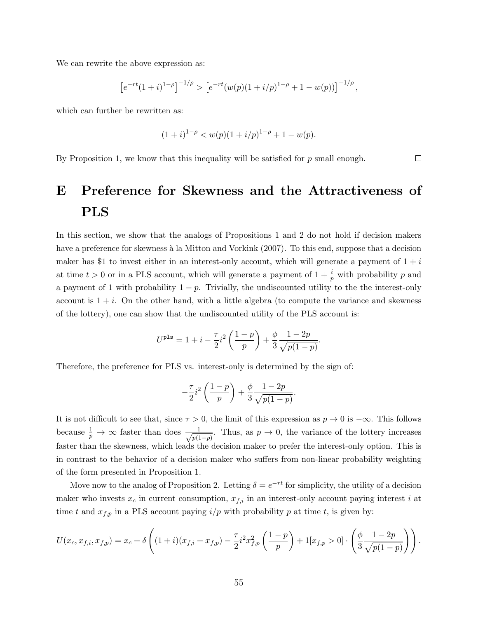We can rewrite the above expression as:

$$
\left[e^{-rt}(1+i)^{1-\rho}\right]^{-1/\rho} > \left[e^{-rt}(w(p)(1+i/p)^{1-\rho}+1-w(p))\right]^{-1/\rho},\,
$$

which can further be rewritten as:

$$
(1+i)^{1-\rho} < w(p)(1+i/p)^{1-\rho} + 1 - w(p).
$$

 $\Box$ 

By Proposition [1,](#page-31-0) we know that this inequality will be satisfied for  $p$  small enough.

# <span id="page-54-0"></span>E Preference for Skewness and the Attractiveness of PLS

In this section, we show that the analogs of Propositions [1](#page-31-0) and [2](#page-33-0) do not hold if decision makers have a preference for skewness à la [Mitton and Vorkink](#page-41-2) [\(2007\)](#page-41-2). To this end, suppose that a decision maker has \$1 to invest either in an interest-only account, which will generate a payment of  $1 + i$ at time  $t > 0$  or in a PLS account, which will generate a payment of  $1 + \frac{i}{p}$  with probability p and a payment of 1 with probability  $1 - p$ . Trivially, the undiscounted utility to the the interest-only account is  $1 + i$ . On the other hand, with a little algebra (to compute the variance and skewness of the lottery), one can show that the undiscounted utility of the PLS account is:

$$
U^{\text{pls}} = 1 + i - \frac{\tau}{2}i^2 \left( \frac{1-p}{p} \right) + \frac{\phi}{3} \frac{1-2p}{\sqrt{p(1-p)}}.
$$

Therefore, the preference for PLS vs. interest-only is determined by the sign of:

$$
-\frac{\tau}{2}i^2\left(\frac{1-p}{p}\right)+\frac{\phi}{3}\frac{1-2p}{\sqrt{p(1-p)}}.
$$

It is not difficult to see that, since  $\tau > 0$ , the limit of this expression as  $p \to 0$  is  $-\infty$ . This follows because  $\frac{1}{p} \to \infty$  faster than does  $\frac{1}{\sqrt{p(1)}}$  $\frac{1}{p(1-p)}$ . Thus, as  $p \to 0$ , the variance of the lottery increases faster than the skewness, which leads the decision maker to prefer the interest-only option. This is in contrast to the behavior of a decision maker who suffers from non-linear probability weighting of the form presented in Proposition [1.](#page-31-0)

Move now to the analog of Proposition [2.](#page-33-0) Letting  $\delta = e^{-rt}$  for simplicity, the utility of a decision maker who invests  $x_c$  in current consumption,  $x_{f,i}$  in an interest-only account paying interest i at time t and  $x_{f,p}$  in a PLS account paying  $i/p$  with probability p at time t, is given by:

$$
U(x_c, x_{f,i}, x_{f,p}) = x_c + \delta \left( (1+i)(x_{f,i} + x_{f,p}) - \frac{\tau}{2} i^2 x_{f,p}^2 \left( \frac{1-p}{p} \right) + 1[x_{f,p} > 0] \cdot \left( \frac{\phi}{3} \frac{1-2p}{\sqrt{p(1-p)}} \right) \right).
$$